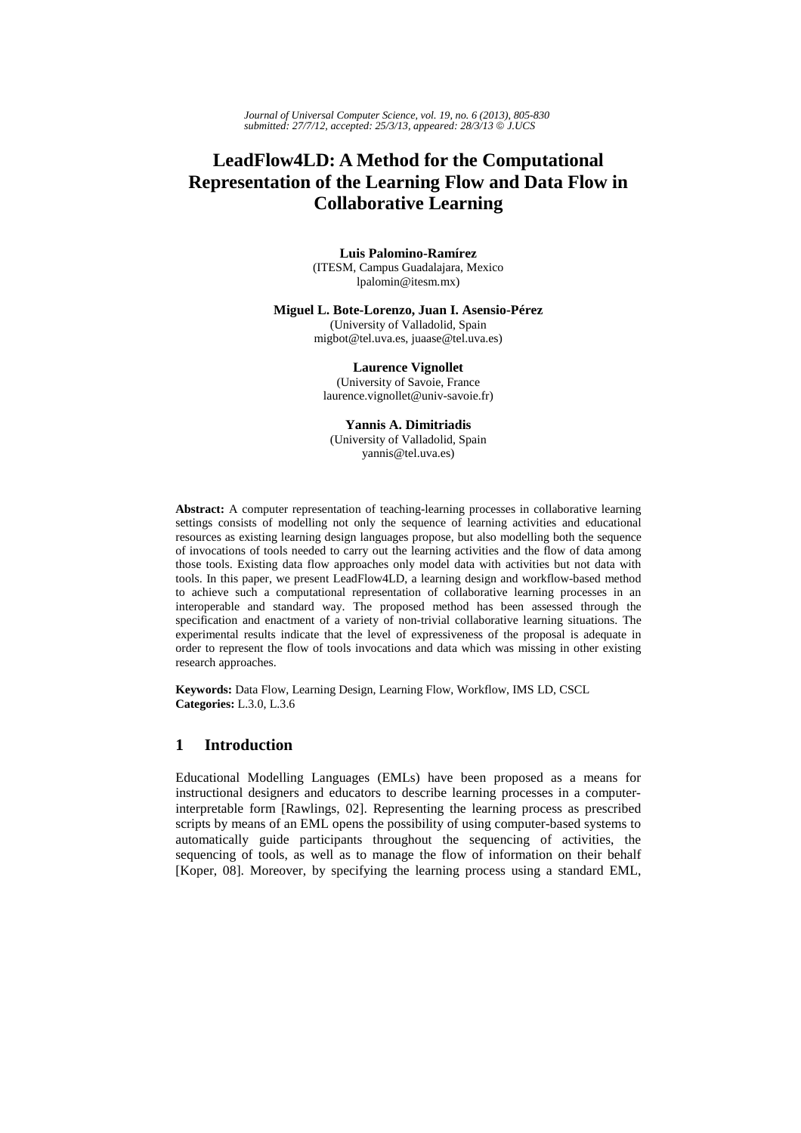*Journal of Universal Computer Science, vol. 19, no. 6 (2013), 805-830 submitted: 27/7/12, accepted: 25/3/13, appeared: 28/3/13* © *J.UCS*

# **LeadFlow4LD: A Method for the Computational Representation of the Learning Flow and Data Flow in Collaborative Learning**

**Luis Palomino-Ramírez**  (ITESM, Campus Guadalajara, Mexico lpalomin@itesm.mx)

#### **Miguel L. Bote-Lorenzo, Juan I. Asensio-Pérez**

(University of Valladolid, Spain migbot@tel.uva.es, juaase@tel.uva.es)

## **Laurence Vignollet**

(University of Savoie, France laurence.vignollet@univ-savoie.fr)

#### **Yannis A. Dimitriadis**

(University of Valladolid, Spain yannis@tel.uva.es)

**Abstract:** A computer representation of teaching-learning processes in collaborative learning settings consists of modelling not only the sequence of learning activities and educational resources as existing learning design languages propose, but also modelling both the sequence of invocations of tools needed to carry out the learning activities and the flow of data among those tools. Existing data flow approaches only model data with activities but not data with tools. In this paper, we present LeadFlow4LD, a learning design and workflow-based method to achieve such a computational representation of collaborative learning processes in an interoperable and standard way. The proposed method has been assessed through the specification and enactment of a variety of non-trivial collaborative learning situations. The experimental results indicate that the level of expressiveness of the proposal is adequate in order to represent the flow of tools invocations and data which was missing in other existing research approaches.

**Keywords:** Data Flow, Learning Design, Learning Flow, Workflow, IMS LD, CSCL **Categories:** L.3.0, L.3.6

## **1 Introduction**

Educational Modelling Languages (EMLs) have been proposed as a means for instructional designers and educators to describe learning processes in a computerinterpretable form [Rawlings, 02]. Representing the learning process as prescribed scripts by means of an EML opens the possibility of using computer-based systems to automatically guide participants throughout the sequencing of activities, the sequencing of tools, as well as to manage the flow of information on their behalf [Koper, 08]. Moreover, by specifying the learning process using a standard EML,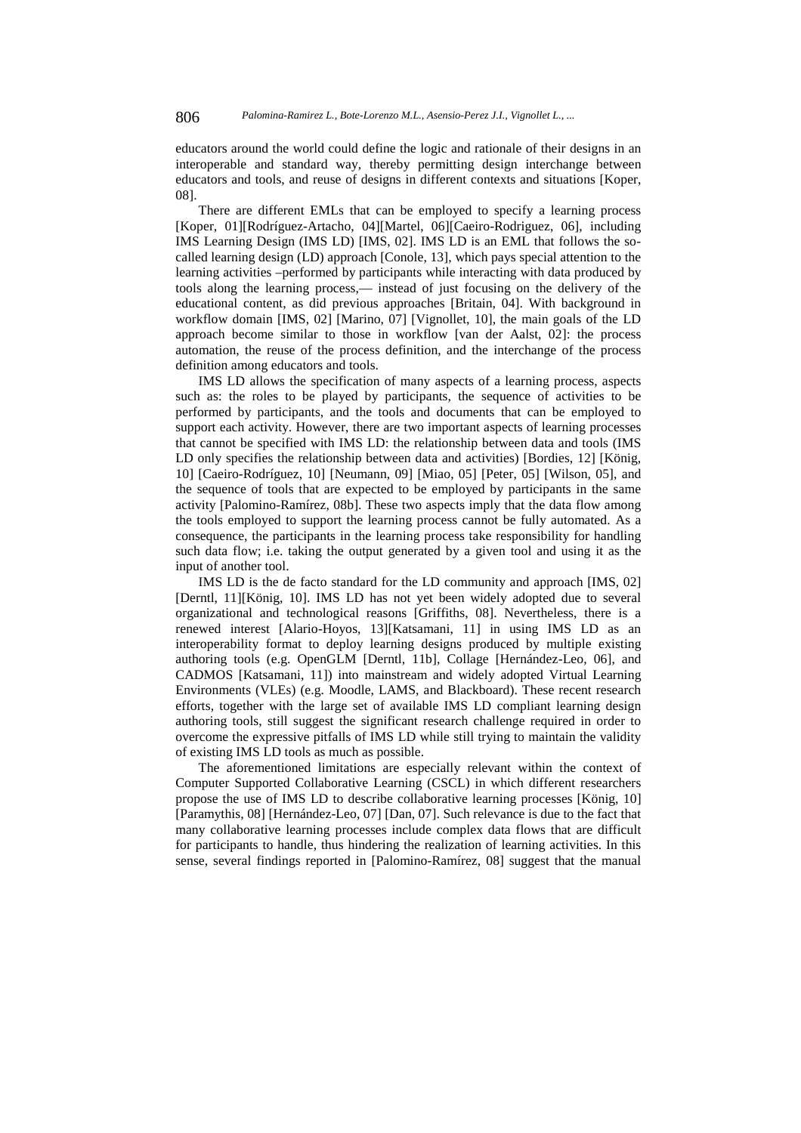educators around the world could define the logic and rationale of their designs in an interoperable and standard way, thereby permitting design interchange between educators and tools, and reuse of designs in different contexts and situations [Koper, 08].

There are different EMLs that can be employed to specify a learning process [Koper, 01][Rodríguez-Artacho, 04][Martel, 06][Caeiro-Rodriguez, 06], including IMS Learning Design (IMS LD) [IMS, 02]. IMS LD is an EML that follows the socalled learning design (LD) approach [Conole, 13], which pays special attention to the learning activities –performed by participants while interacting with data produced by tools along the learning process,— instead of just focusing on the delivery of the educational content, as did previous approaches [Britain, 04]. With background in workflow domain [IMS, 02] [Marino, 07] [Vignollet, 10], the main goals of the LD approach become similar to those in workflow [van der Aalst, 02]: the process automation, the reuse of the process definition, and the interchange of the process definition among educators and tools.

IMS LD allows the specification of many aspects of a learning process, aspects such as: the roles to be played by participants, the sequence of activities to be performed by participants, and the tools and documents that can be employed to support each activity. However, there are two important aspects of learning processes that cannot be specified with IMS LD: the relationship between data and tools (IMS LD only specifies the relationship between data and activities) [Bordies, 12] [König, 10] [Caeiro-Rodríguez, 10] [Neumann, 09] [Miao, 05] [Peter, 05] [Wilson, 05], and the sequence of tools that are expected to be employed by participants in the same activity [Palomino-Ramírez, 08b]. These two aspects imply that the data flow among the tools employed to support the learning process cannot be fully automated. As a consequence, the participants in the learning process take responsibility for handling such data flow; i.e. taking the output generated by a given tool and using it as the input of another tool.

IMS LD is the de facto standard for the LD community and approach [IMS, 02] [Derntl, 11][König, 10]. IMS LD has not yet been widely adopted due to several organizational and technological reasons [Griffiths, 08]. Nevertheless, there is a renewed interest [Alario-Hoyos, 13][Katsamani, 11] in using IMS LD as an interoperability format to deploy learning designs produced by multiple existing authoring tools (e.g. OpenGLM [Derntl, 11b], Collage [Hernández-Leo, 06], and CADMOS [Katsamani, 11]) into mainstream and widely adopted Virtual Learning Environments (VLEs) (e.g. Moodle, LAMS, and Blackboard). These recent research efforts, together with the large set of available IMS LD compliant learning design authoring tools, still suggest the significant research challenge required in order to overcome the expressive pitfalls of IMS LD while still trying to maintain the validity of existing IMS LD tools as much as possible.

The aforementioned limitations are especially relevant within the context of Computer Supported Collaborative Learning (CSCL) in which different researchers propose the use of IMS LD to describe collaborative learning processes [König, 10] [Paramythis, 08] [Hernández-Leo, 07] [Dan, 07]. Such relevance is due to the fact that many collaborative learning processes include complex data flows that are difficult for participants to handle, thus hindering the realization of learning activities. In this sense, several findings reported in [Palomino-Ramírez, 08] suggest that the manual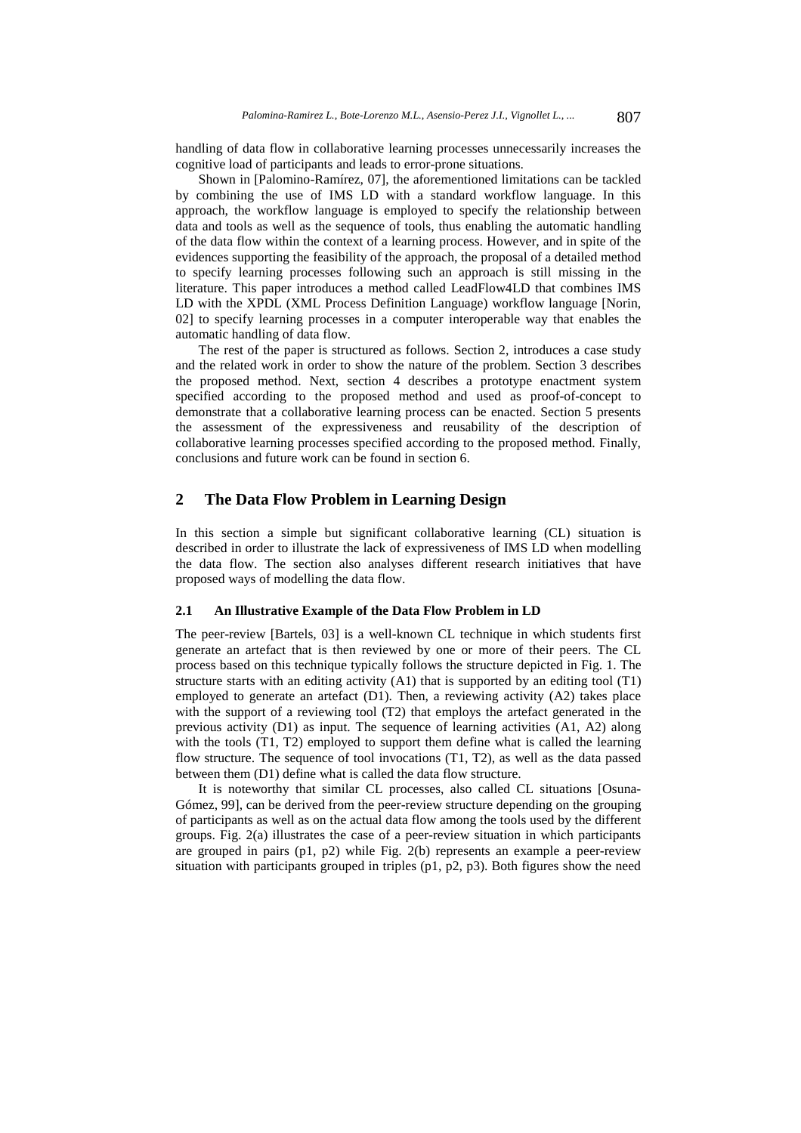handling of data flow in collaborative learning processes unnecessarily increases the cognitive load of participants and leads to error-prone situations.

Shown in [Palomino-Ramírez, 07], the aforementioned limitations can be tackled by combining the use of IMS LD with a standard workflow language. In this approach, the workflow language is employed to specify the relationship between data and tools as well as the sequence of tools, thus enabling the automatic handling of the data flow within the context of a learning process. However, and in spite of the evidences supporting the feasibility of the approach, the proposal of a detailed method to specify learning processes following such an approach is still missing in the literature. This paper introduces a method called LeadFlow4LD that combines IMS LD with the XPDL (XML Process Definition Language) workflow language [Norin, 02] to specify learning processes in a computer interoperable way that enables the automatic handling of data flow.

The rest of the paper is structured as follows. Section 2, introduces a case study and the related work in order to show the nature of the problem. Section 3 describes the proposed method. Next, section 4 describes a prototype enactment system specified according to the proposed method and used as proof-of-concept to demonstrate that a collaborative learning process can be enacted. Section 5 presents the assessment of the expressiveness and reusability of the description of collaborative learning processes specified according to the proposed method. Finally, conclusions and future work can be found in section 6.

# **2 The Data Flow Problem in Learning Design**

In this section a simple but significant collaborative learning (CL) situation is described in order to illustrate the lack of expressiveness of IMS LD when modelling the data flow. The section also analyses different research initiatives that have proposed ways of modelling the data flow.

#### **2.1 An Illustrative Example of the Data Flow Problem in LD**

The peer-review [Bartels, 03] is a well-known CL technique in which students first generate an artefact that is then reviewed by one or more of their peers. The CL process based on this technique typically follows the structure depicted in Fig. 1. The structure starts with an editing activity (A1) that is supported by an editing tool (T1) employed to generate an artefact (D1). Then, a reviewing activity (A2) takes place with the support of a reviewing tool (T2) that employs the artefact generated in the previous activity (D1) as input. The sequence of learning activities (A1, A2) along with the tools (T1, T2) employed to support them define what is called the learning flow structure. The sequence of tool invocations (T1, T2), as well as the data passed between them (D1) define what is called the data flow structure.

It is noteworthy that similar CL processes, also called CL situations [Osuna-Gómez, 99], can be derived from the peer-review structure depending on the grouping of participants as well as on the actual data flow among the tools used by the different groups. Fig. 2(a) illustrates the case of a peer-review situation in which participants are grouped in pairs (p1, p2) while Fig. 2(b) represents an example a peer-review situation with participants grouped in triples (p1, p2, p3). Both figures show the need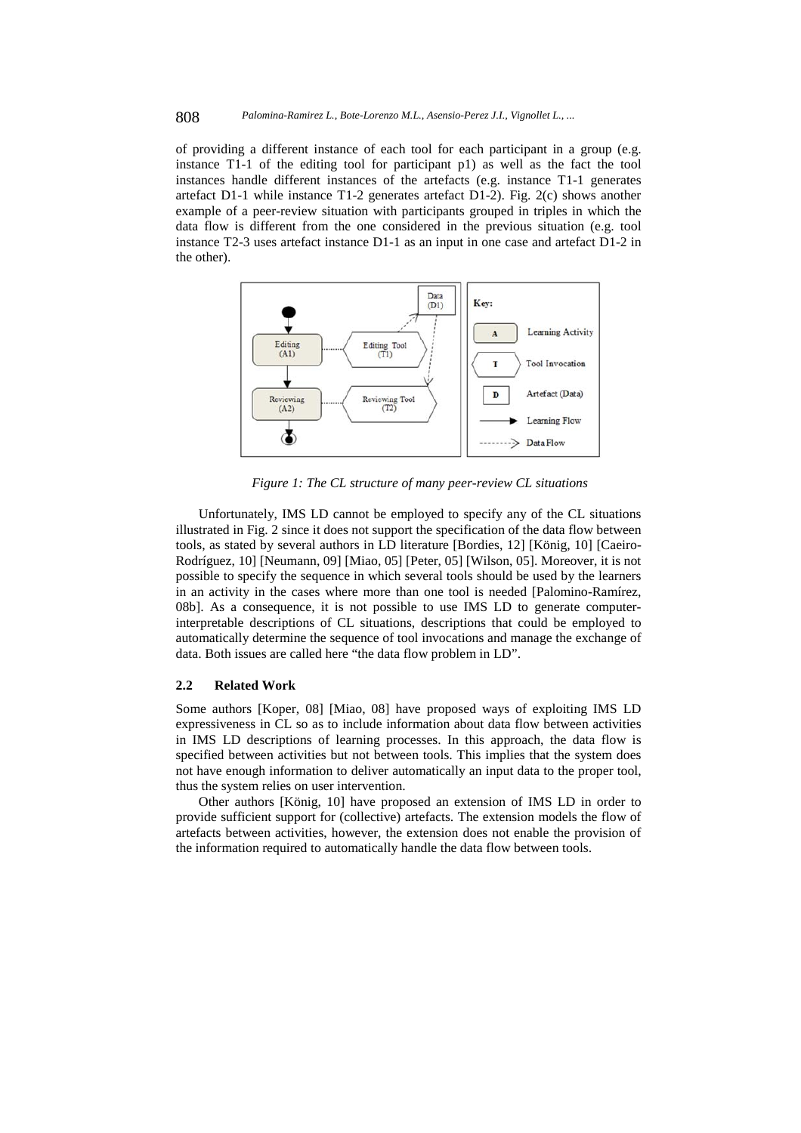of providing a different instance of each tool for each participant in a group (e.g. instance T1-1 of the editing tool for participant p1) as well as the fact the tool instances handle different instances of the artefacts (e.g. instance T1-1 generates artefact D1-1 while instance T1-2 generates artefact D1-2). Fig. 2(c) shows another example of a peer-review situation with participants grouped in triples in which the data flow is different from the one considered in the previous situation (e.g. tool instance T2-3 uses artefact instance D1-1 as an input in one case and artefact D1-2 in the other).



*Figure 1: The CL structure of many peer-review CL situations* 

Unfortunately, IMS LD cannot be employed to specify any of the CL situations illustrated in Fig. 2 since it does not support the specification of the data flow between tools, as stated by several authors in LD literature [Bordies, 12] [König, 10] [Caeiro-Rodríguez, 10] [Neumann, 09] [Miao, 05] [Peter, 05] [Wilson, 05]. Moreover, it is not possible to specify the sequence in which several tools should be used by the learners in an activity in the cases where more than one tool is needed [Palomino-Ramírez, 08b]. As a consequence, it is not possible to use IMS LD to generate computerinterpretable descriptions of CL situations, descriptions that could be employed to automatically determine the sequence of tool invocations and manage the exchange of data. Both issues are called here "the data flow problem in LD".

## **2.2 Related Work**

Some authors [Koper, 08] [Miao, 08] have proposed ways of exploiting IMS LD expressiveness in CL so as to include information about data flow between activities in IMS LD descriptions of learning processes. In this approach, the data flow is specified between activities but not between tools. This implies that the system does not have enough information to deliver automatically an input data to the proper tool, thus the system relies on user intervention.

Other authors [König, 10] have proposed an extension of IMS LD in order to provide sufficient support for (collective) artefacts. The extension models the flow of artefacts between activities, however, the extension does not enable the provision of the information required to automatically handle the data flow between tools.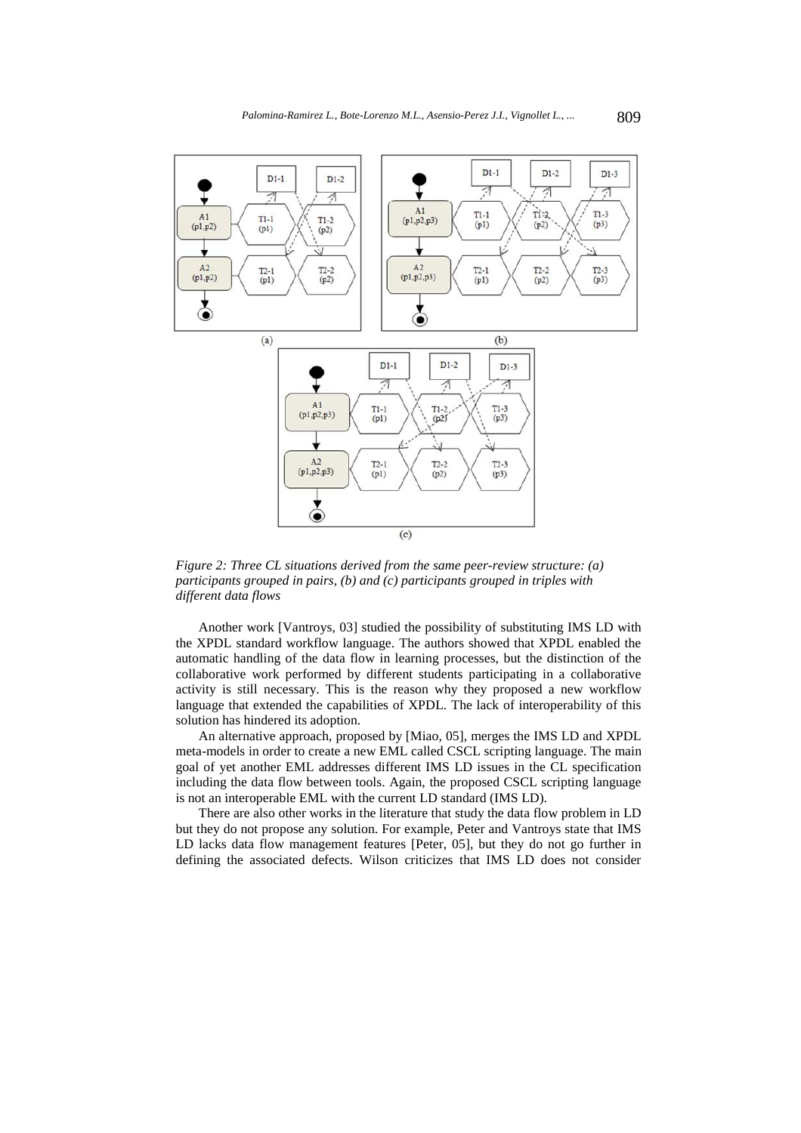

*Figure 2: Three CL situations derived from the same peer-review structure: (a) participants grouped in pairs, (b) and (c) participants grouped in triples with different data flows* 

Another work [Vantroys, 03] studied the possibility of substituting IMS LD with the XPDL standard workflow language. The authors showed that XPDL enabled the automatic handling of the data flow in learning processes, but the distinction of the collaborative work performed by different students participating in a collaborative activity is still necessary. This is the reason why they proposed a new workflow language that extended the capabilities of XPDL. The lack of interoperability of this solution has hindered its adoption.

An alternative approach, proposed by [Miao, 05], merges the IMS LD and XPDL meta-models in order to create a new EML called CSCL scripting language. The main goal of yet another EML addresses different IMS LD issues in the CL specification including the data flow between tools. Again, the proposed CSCL scripting language is not an interoperable EML with the current LD standard (IMS LD).

There are also other works in the literature that study the data flow problem in LD but they do not propose any solution. For example, Peter and Vantroys state that IMS LD lacks data flow management features [Peter, 05], but they do not go further in defining the associated defects. Wilson criticizes that IMS LD does not consider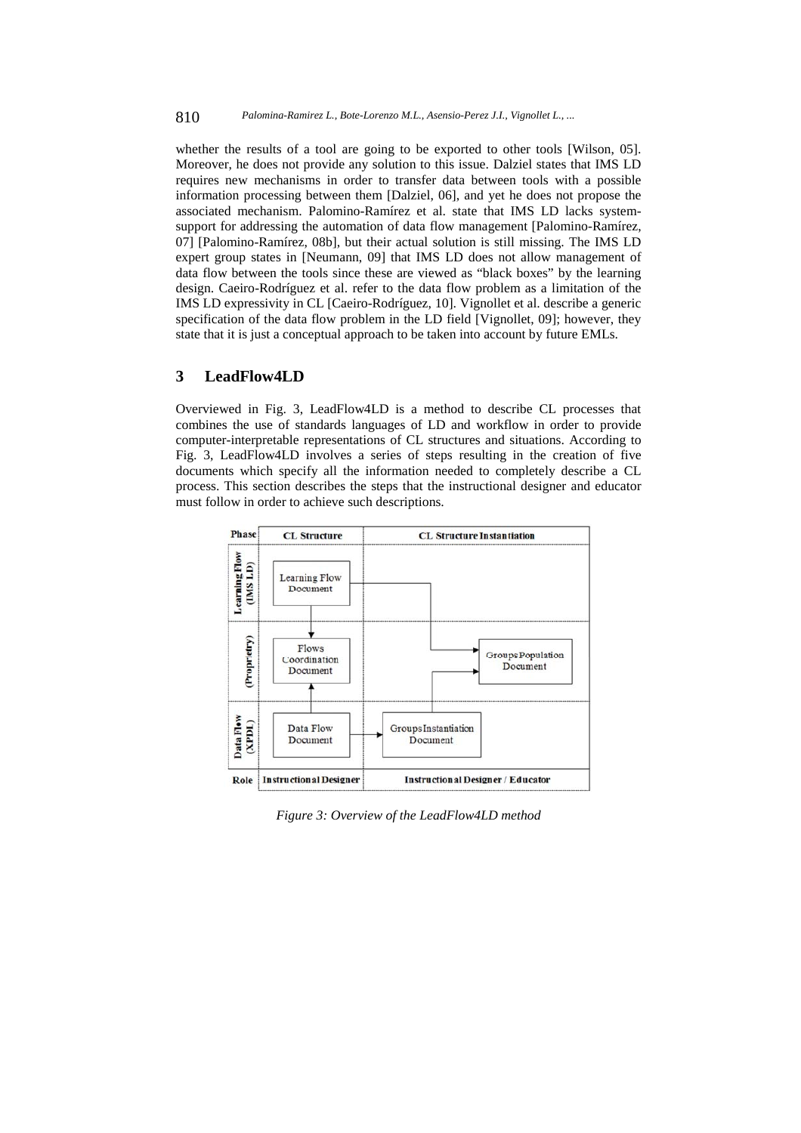whether the results of a tool are going to be exported to other tools [Wilson, 05]. Moreover, he does not provide any solution to this issue. Dalziel states that IMS LD requires new mechanisms in order to transfer data between tools with a possible information processing between them [Dalziel, 06], and yet he does not propose the associated mechanism. Palomino-Ramírez et al. state that IMS LD lacks systemsupport for addressing the automation of data flow management [Palomino-Ramírez, 07] [Palomino-Ramírez, 08b], but their actual solution is still missing. The IMS LD expert group states in [Neumann, 09] that IMS LD does not allow management of data flow between the tools since these are viewed as "black boxes" by the learning design. Caeiro-Rodríguez et al. refer to the data flow problem as a limitation of the IMS LD expressivity in CL [Caeiro-Rodríguez, 10]. Vignollet et al. describe a generic specification of the data flow problem in the LD field [Vignollet, 09]; however, they state that it is just a conceptual approach to be taken into account by future EMLs.

# **3 LeadFlow4LD**

Overviewed in Fig. 3, LeadFlow4LD is a method to describe CL processes that combines the use of standards languages of LD and workflow in order to provide computer-interpretable representations of CL structures and situations. According to Fig. 3, LeadFlow4LD involves a series of steps resulting in the creation of five documents which specify all the information needed to completely describe a CL process. This section describes the steps that the instructional designer and educator must follow in order to achieve such descriptions.



*Figure 3: Overview of the LeadFlow4LD method*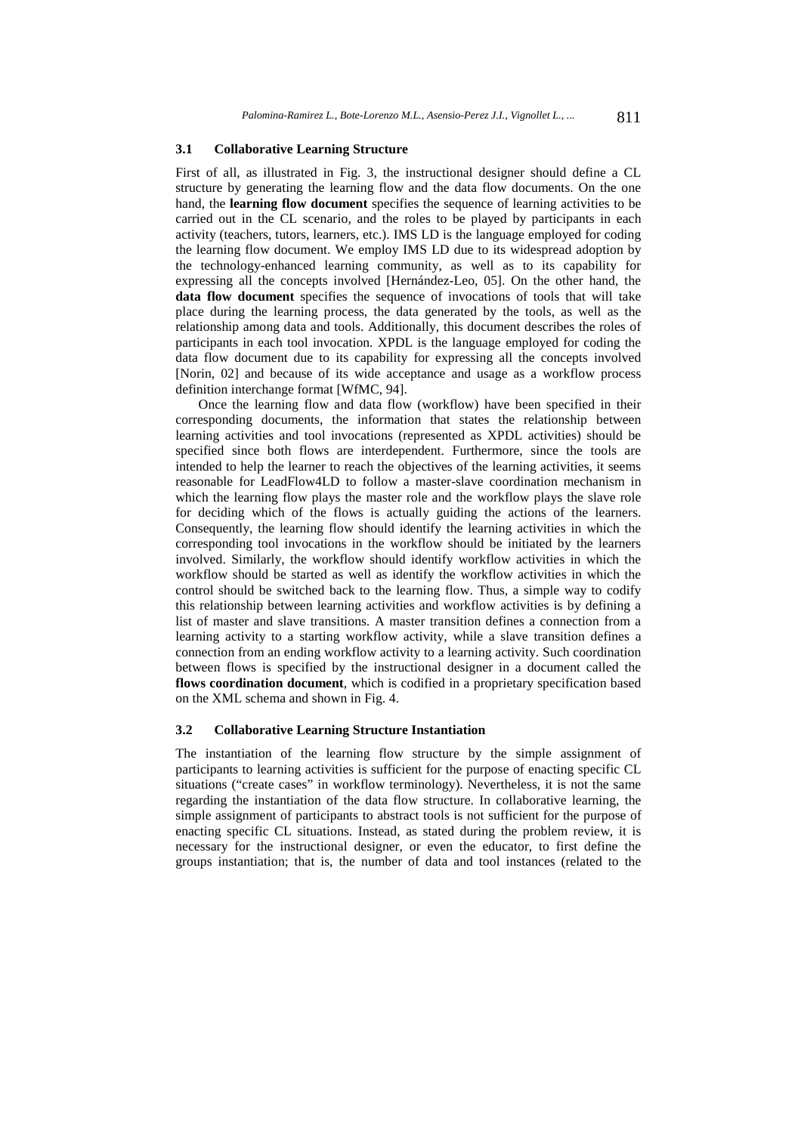#### **3.1 Collaborative Learning Structure**

First of all, as illustrated in Fig. 3, the instructional designer should define a CL structure by generating the learning flow and the data flow documents. On the one hand, the **learning flow document** specifies the sequence of learning activities to be carried out in the CL scenario, and the roles to be played by participants in each activity (teachers, tutors, learners, etc.). IMS LD is the language employed for coding the learning flow document. We employ IMS LD due to its widespread adoption by the technology-enhanced learning community, as well as to its capability for expressing all the concepts involved [Hernández-Leo, 05]. On the other hand, the **data flow document** specifies the sequence of invocations of tools that will take place during the learning process, the data generated by the tools, as well as the relationship among data and tools. Additionally, this document describes the roles of participants in each tool invocation. XPDL is the language employed for coding the data flow document due to its capability for expressing all the concepts involved [Norin, 02] and because of its wide acceptance and usage as a workflow process definition interchange format [WfMC, 94].

Once the learning flow and data flow (workflow) have been specified in their corresponding documents, the information that states the relationship between learning activities and tool invocations (represented as XPDL activities) should be specified since both flows are interdependent. Furthermore, since the tools are intended to help the learner to reach the objectives of the learning activities, it seems reasonable for LeadFlow4LD to follow a master-slave coordination mechanism in which the learning flow plays the master role and the workflow plays the slave role for deciding which of the flows is actually guiding the actions of the learners. Consequently, the learning flow should identify the learning activities in which the corresponding tool invocations in the workflow should be initiated by the learners involved. Similarly, the workflow should identify workflow activities in which the workflow should be started as well as identify the workflow activities in which the control should be switched back to the learning flow. Thus, a simple way to codify this relationship between learning activities and workflow activities is by defining a list of master and slave transitions. A master transition defines a connection from a learning activity to a starting workflow activity, while a slave transition defines a connection from an ending workflow activity to a learning activity. Such coordination between flows is specified by the instructional designer in a document called the **flows coordination document**, which is codified in a proprietary specification based on the XML schema and shown in Fig. 4.

## **3.2 Collaborative Learning Structure Instantiation**

The instantiation of the learning flow structure by the simple assignment of participants to learning activities is sufficient for the purpose of enacting specific CL situations ("create cases" in workflow terminology). Nevertheless, it is not the same regarding the instantiation of the data flow structure. In collaborative learning, the simple assignment of participants to abstract tools is not sufficient for the purpose of enacting specific CL situations. Instead, as stated during the problem review, it is necessary for the instructional designer, or even the educator, to first define the groups instantiation; that is, the number of data and tool instances (related to the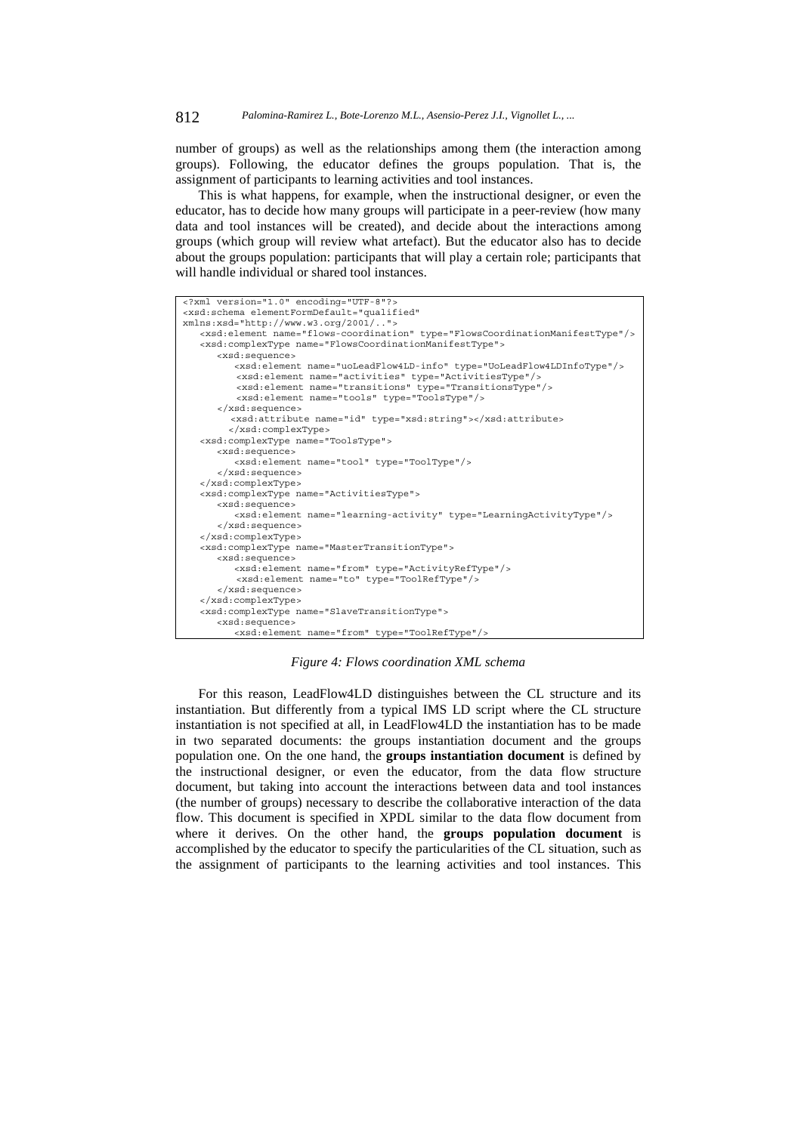number of groups) as well as the relationships among them (the interaction among groups). Following, the educator defines the groups population. That is, the assignment of participants to learning activities and tool instances.

This is what happens, for example, when the instructional designer, or even the educator, has to decide how many groups will participate in a peer-review (how many data and tool instances will be created), and decide about the interactions among groups (which group will review what artefact). But the educator also has to decide about the groups population: participants that will play a certain role; participants that will handle individual or shared tool instances.

```
<?xml version="1.0" encoding="UTF-8"?> 
<xsd:schema elementFormDefault="qualified" 
xmlns:xsd="http://www.w3.org/2001/.."> 
    <xsd:element name="flows-coordination" type="FlowsCoordinationManifestType"/> 
    <xsd:complexType name="FlowsCoordinationManifestType"> 
       <xsd:sequence> 
           <xsd:element name="uoLeadFlow4LD-info" type="UoLeadFlow4LDInfoType"/> 
           <xsd:element name="activities" type="ActivitiesType"/> 
     <xsd:element name="transitions" type="TransitionsType"/> 
 <xsd:element name="tools" type="ToolsType"/> 
       </xsd:sequence> 
          <xsd:attribute name="id" type="xsd:string"></xsd:attribute> 
          </xsd:complexType> 
    <xsd:complexType name="ToolsType"> 
       <xsd:sequence> 
          <xsd:element name="tool" type="ToolType"/> 
       </xsd:sequence> 
    </xsd:complexType> 
    <xsd:complexType name="ActivitiesType"> 
       <xsd:sequence> 
           <xsd:element name="learning-activity" type="LearningActivityType"/> 
       </xsd:sequence> 
    </xsd:complexType> 
    <xsd:complexType name="MasterTransitionType"> 
       <xsd:sequence> 
           <xsd:element name="from" type="ActivityRefType"/> 
           <xsd:element name="to" type="ToolRefType"/> 
       </xsd:sequence> 
    </xsd:complexType> 
    <xsd:complexType name="SlaveTransitionType"> 
       <xsd:sequence> 
           <xsd:element name="from" type="ToolRefType"/>
```
*Figure 4: Flows coordination XML schema* 

For this reason, LeadFlow4LD distinguishes between the CL structure and its instantiation. But differently from a typical IMS LD script where the CL structure instantiation is not specified at all, in LeadFlow4LD the instantiation has to be made in two separated documents: the groups instantiation document and the groups population one. On the one hand, the **groups instantiation document** is defined by the instructional designer, or even the educator, from the data flow structure document, but taking into account the interactions between data and tool instances (the number of groups) necessary to describe the collaborative interaction of the data flow. This document is specified in XPDL similar to the data flow document from where it derives. On the other hand, the **groups population document** is accomplished by the educator to specify the particularities of the CL situation, such as the assignment of participants to the learning activities and tool instances. This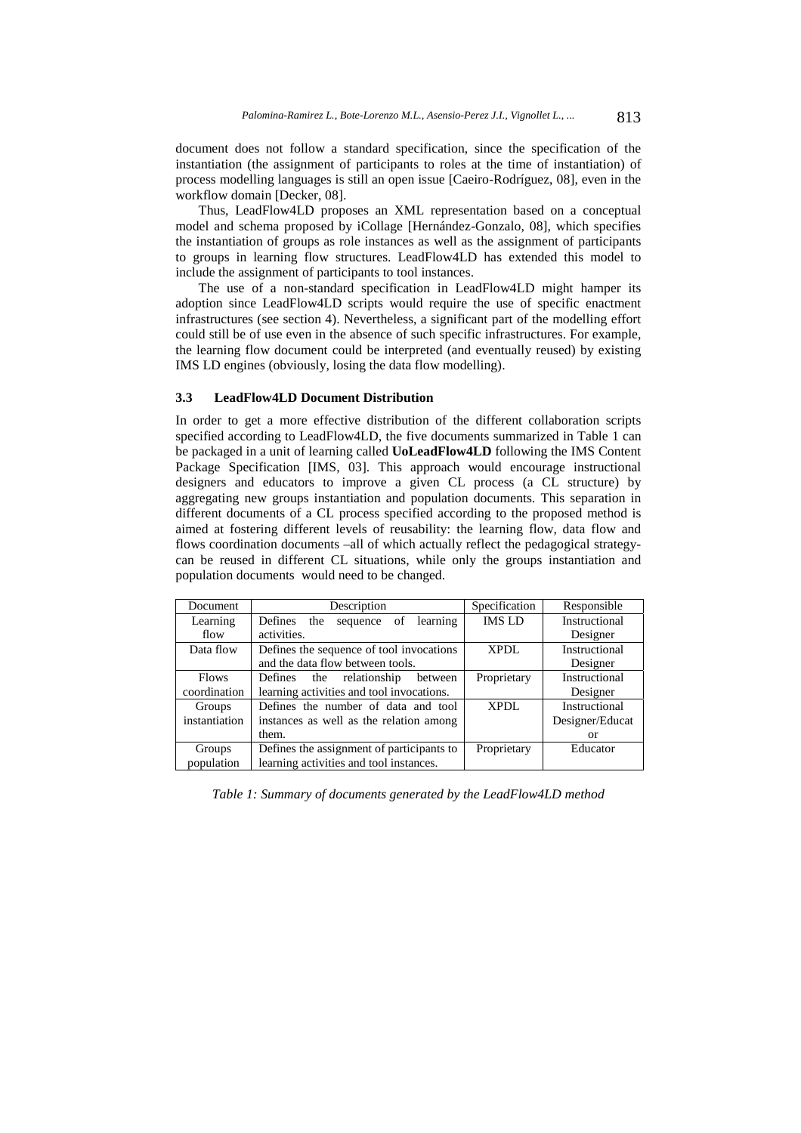document does not follow a standard specification, since the specification of the instantiation (the assignment of participants to roles at the time of instantiation) of process modelling languages is still an open issue [Caeiro-Rodríguez, 08], even in the workflow domain [Decker, 08].

Thus, LeadFlow4LD proposes an XML representation based on a conceptual model and schema proposed by iCollage [Hernández-Gonzalo, 08], which specifies the instantiation of groups as role instances as well as the assignment of participants to groups in learning flow structures. LeadFlow4LD has extended this model to include the assignment of participants to tool instances.

The use of a non-standard specification in LeadFlow4LD might hamper its adoption since LeadFlow4LD scripts would require the use of specific enactment infrastructures (see section 4). Nevertheless, a significant part of the modelling effort could still be of use even in the absence of such specific infrastructures. For example, the learning flow document could be interpreted (and eventually reused) by existing IMS LD engines (obviously, losing the data flow modelling).

#### **3.3 LeadFlow4LD Document Distribution**

In order to get a more effective distribution of the different collaboration scripts specified according to LeadFlow4LD, the five documents summarized in Table 1 can be packaged in a unit of learning called **UoLeadFlow4LD** following the IMS Content Package Specification [IMS, 03]. This approach would encourage instructional designers and educators to improve a given CL process (a CL structure) by aggregating new groups instantiation and population documents. This separation in different documents of a CL process specified according to the proposed method is aimed at fostering different levels of reusability: the learning flow, data flow and flows coordination documents –all of which actually reflect the pedagogical strategycan be reused in different CL situations, while only the groups instantiation and population documents would need to be changed.

| Document      | Description                               | Specification | Responsible          |  |
|---------------|-------------------------------------------|---------------|----------------------|--|
| Learning      | Defines the<br>learning<br>sequence of    | <b>IMS LD</b> | Instructional        |  |
| flow          | activities.                               |               | Designer             |  |
| Data flow     | Defines the sequence of tool invocations  | <b>XPDL</b>   | <b>Instructional</b> |  |
|               | and the data flow between tools.          |               | Designer             |  |
| <b>Flows</b>  | Defines<br>the relationship<br>between    | Proprietary   | <b>Instructional</b> |  |
| coordination  | learning activities and tool invocations. |               | Designer             |  |
| Groups        | Defines the number of data and tool       | XPDL          | Instructional        |  |
| instantiation | instances as well as the relation among   |               | Designer/Educat      |  |
|               | them.                                     |               | or                   |  |
| Groups        | Defines the assignment of participants to | Proprietary   | Educator             |  |
| population    | learning activities and tool instances.   |               |                      |  |

*Table 1: Summary of documents generated by the LeadFlow4LD method*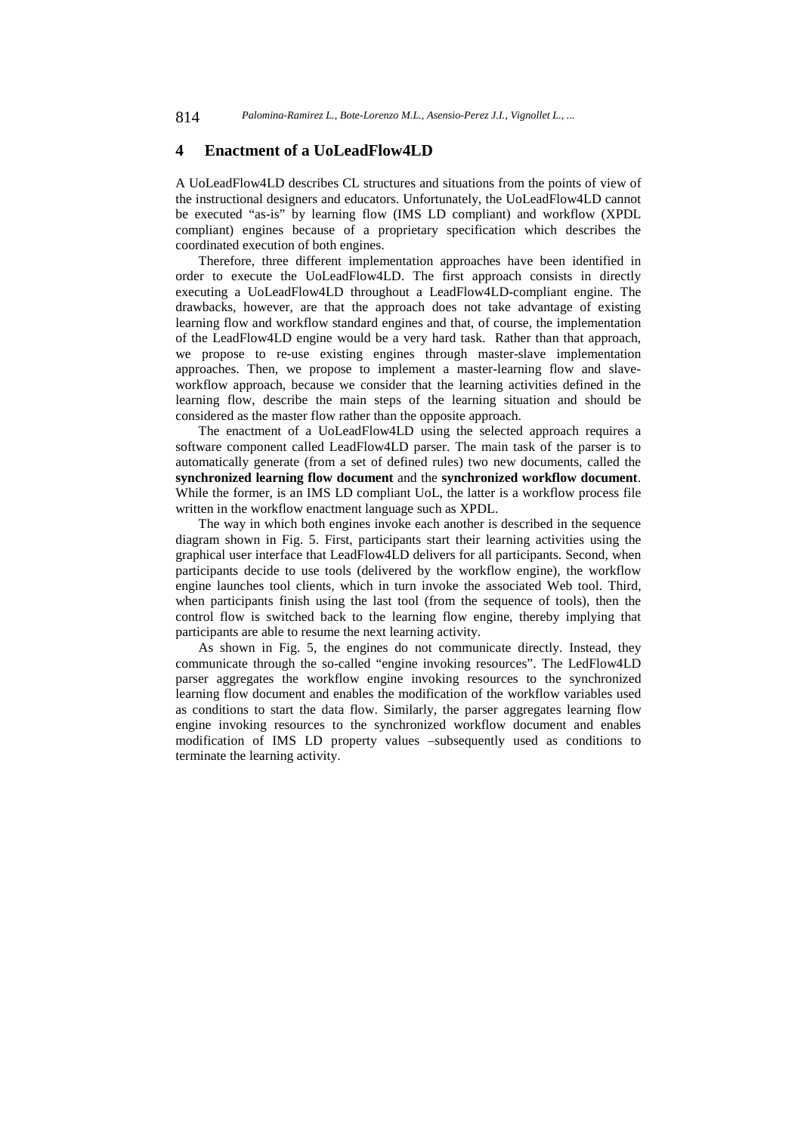## **4 Enactment of a UoLeadFlow4LD**

A UoLeadFlow4LD describes CL structures and situations from the points of view of the instructional designers and educators. Unfortunately, the UoLeadFlow4LD cannot be executed "as-is" by learning flow (IMS LD compliant) and workflow (XPDL compliant) engines because of a proprietary specification which describes the coordinated execution of both engines.

Therefore, three different implementation approaches have been identified in order to execute the UoLeadFlow4LD. The first approach consists in directly executing a UoLeadFlow4LD throughout a LeadFlow4LD-compliant engine. The drawbacks, however, are that the approach does not take advantage of existing learning flow and workflow standard engines and that, of course, the implementation of the LeadFlow4LD engine would be a very hard task. Rather than that approach, we propose to re-use existing engines through master-slave implementation approaches. Then, we propose to implement a master-learning flow and slaveworkflow approach, because we consider that the learning activities defined in the learning flow, describe the main steps of the learning situation and should be considered as the master flow rather than the opposite approach.

The enactment of a UoLeadFlow4LD using the selected approach requires a software component called LeadFlow4LD parser. The main task of the parser is to automatically generate (from a set of defined rules) two new documents, called the **synchronized learning flow document** and the **synchronized workflow document**. While the former, is an IMS LD compliant UoL, the latter is a workflow process file written in the workflow enactment language such as XPDL.

The way in which both engines invoke each another is described in the sequence diagram shown in Fig. 5. First, participants start their learning activities using the graphical user interface that LeadFlow4LD delivers for all participants. Second, when participants decide to use tools (delivered by the workflow engine), the workflow engine launches tool clients, which in turn invoke the associated Web tool. Third, when participants finish using the last tool (from the sequence of tools), then the control flow is switched back to the learning flow engine, thereby implying that participants are able to resume the next learning activity.

As shown in Fig. 5, the engines do not communicate directly. Instead, they communicate through the so-called "engine invoking resources". The LedFlow4LD parser aggregates the workflow engine invoking resources to the synchronized learning flow document and enables the modification of the workflow variables used as conditions to start the data flow. Similarly, the parser aggregates learning flow engine invoking resources to the synchronized workflow document and enables modification of IMS LD property values –subsequently used as conditions to terminate the learning activity.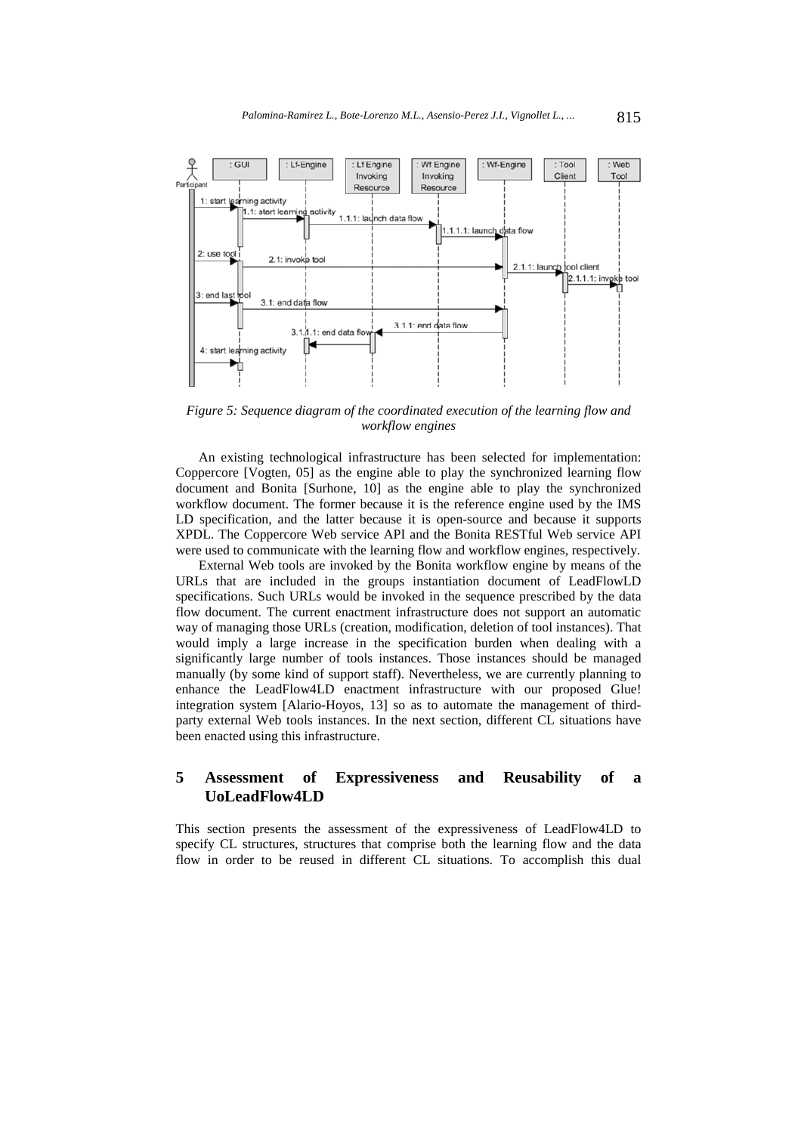

*Figure 5: Sequence diagram of the coordinated execution of the learning flow and workflow engines* 

An existing technological infrastructure has been selected for implementation: Coppercore [Vogten, 05] as the engine able to play the synchronized learning flow document and Bonita [Surhone, 10] as the engine able to play the synchronized workflow document. The former because it is the reference engine used by the IMS LD specification, and the latter because it is open-source and because it supports XPDL. The Coppercore Web service API and the Bonita RESTful Web service API were used to communicate with the learning flow and workflow engines, respectively.

External Web tools are invoked by the Bonita workflow engine by means of the URLs that are included in the groups instantiation document of LeadFlowLD specifications. Such URLs would be invoked in the sequence prescribed by the data flow document. The current enactment infrastructure does not support an automatic way of managing those URLs (creation, modification, deletion of tool instances). That would imply a large increase in the specification burden when dealing with a significantly large number of tools instances. Those instances should be managed manually (by some kind of support staff). Nevertheless, we are currently planning to enhance the LeadFlow4LD enactment infrastructure with our proposed Glue! integration system [Alario-Hoyos, 13] so as to automate the management of thirdparty external Web tools instances. In the next section, different CL situations have been enacted using this infrastructure.

# **5 Assessment of Expressiveness and Reusability of a UoLeadFlow4LD**

This section presents the assessment of the expressiveness of LeadFlow4LD to specify CL structures, structures that comprise both the learning flow and the data flow in order to be reused in different CL situations. To accomplish this dual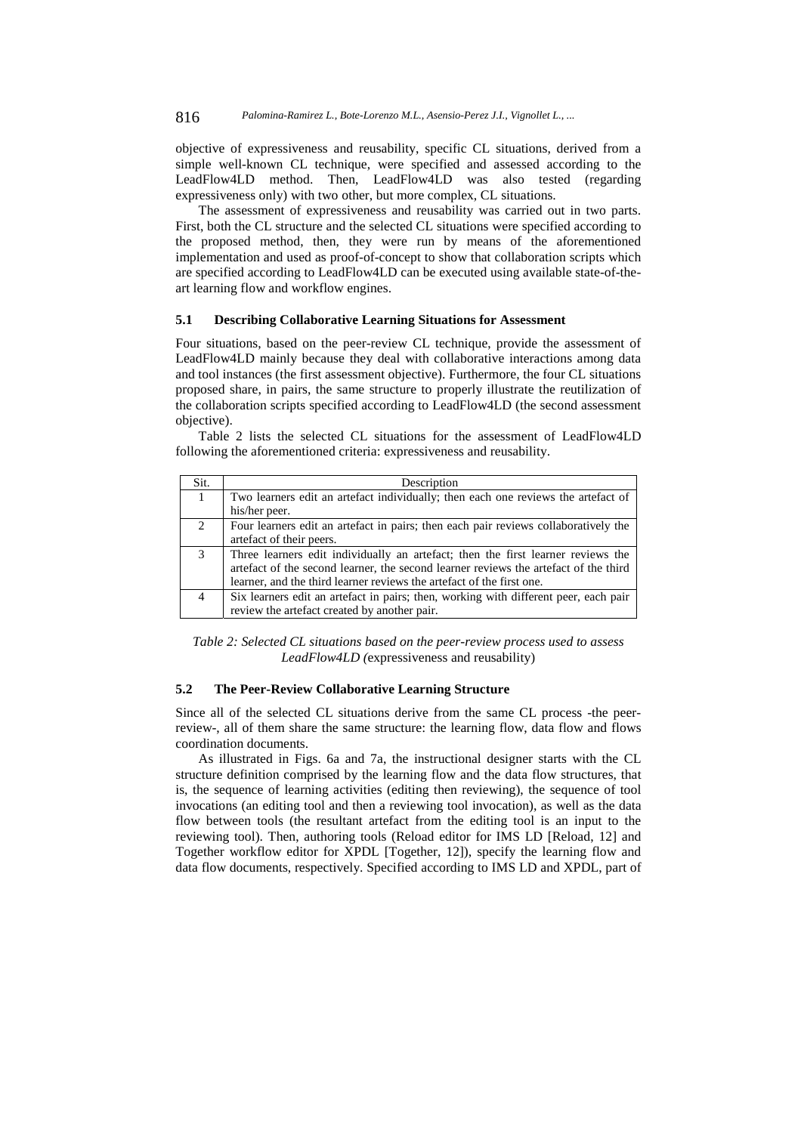objective of expressiveness and reusability, specific CL situations, derived from a simple well-known CL technique, were specified and assessed according to the LeadFlow4LD method. Then, LeadFlow4LD was also tested (regarding expressiveness only) with two other, but more complex, CL situations.

The assessment of expressiveness and reusability was carried out in two parts. First, both the CL structure and the selected CL situations were specified according to the proposed method, then, they were run by means of the aforementioned implementation and used as proof-of-concept to show that collaboration scripts which are specified according to LeadFlow4LD can be executed using available state-of-theart learning flow and workflow engines.

#### **5.1 Describing Collaborative Learning Situations for Assessment**

Four situations, based on the peer-review CL technique, provide the assessment of LeadFlow4LD mainly because they deal with collaborative interactions among data and tool instances (the first assessment objective). Furthermore, the four CL situations proposed share, in pairs, the same structure to properly illustrate the reutilization of the collaboration scripts specified according to LeadFlow4LD (the second assessment objective).

Table 2 lists the selected CL situations for the assessment of LeadFlow4LD following the aforementioned criteria: expressiveness and reusability.

| Sit.                        | Description                                                                          |
|-----------------------------|--------------------------------------------------------------------------------------|
|                             | Two learners edit an artefact individually; then each one reviews the artefact of    |
|                             | his/her peer.                                                                        |
| $\mathcal{D}_{\mathcal{L}}$ | Four learners edit an artefact in pairs; then each pair reviews collaboratively the  |
|                             | artefact of their peers.                                                             |
| $\mathcal{R}$               | Three learners edit individually an artefact; then the first learner reviews the     |
|                             | artefact of the second learner, the second learner reviews the artefact of the third |
|                             | learner, and the third learner reviews the artefact of the first one.                |
|                             | Six learners edit an artefact in pairs; then, working with different peer, each pair |
|                             | review the artefact created by another pair.                                         |

*Table 2: Selected CL situations based on the peer-review process used to assess LeadFlow4LD (*expressiveness and reusability)

#### **5.2 The Peer-Review Collaborative Learning Structure**

Since all of the selected CL situations derive from the same CL process -the peerreview-, all of them share the same structure: the learning flow, data flow and flows coordination documents.

As illustrated in Figs. 6a and 7a, the instructional designer starts with the CL structure definition comprised by the learning flow and the data flow structures, that is, the sequence of learning activities (editing then reviewing), the sequence of tool invocations (an editing tool and then a reviewing tool invocation), as well as the data flow between tools (the resultant artefact from the editing tool is an input to the reviewing tool). Then, authoring tools (Reload editor for IMS LD [Reload, 12] and Together workflow editor for XPDL [Together, 12]), specify the learning flow and data flow documents, respectively. Specified according to IMS LD and XPDL, part of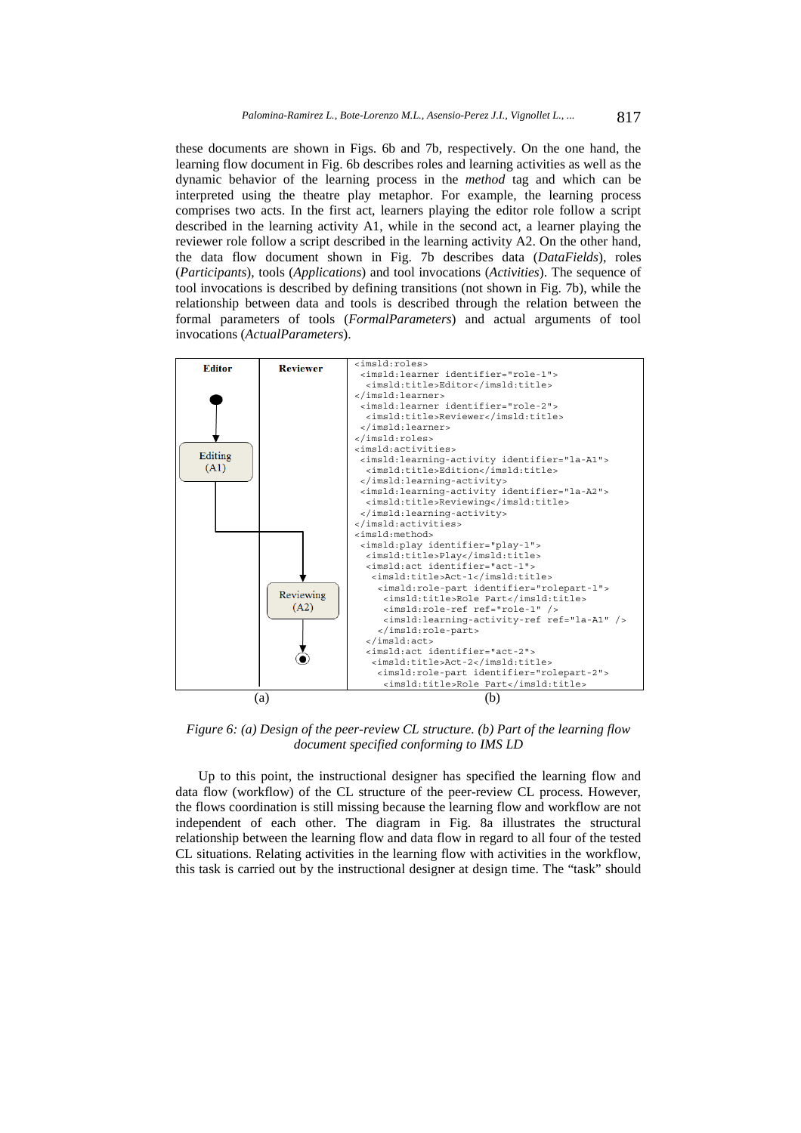these documents are shown in Figs. 6b and 7b, respectively. On the one hand, the learning flow document in Fig. 6b describes roles and learning activities as well as the dynamic behavior of the learning process in the *method* tag and which can be interpreted using the theatre play metaphor. For example, the learning process comprises two acts. In the first act, learners playing the editor role follow a script described in the learning activity A1, while in the second act, a learner playing the reviewer role follow a script described in the learning activity A2. On the other hand, the data flow document shown in Fig. 7b describes data (*DataFields*), roles (*Participants*), tools (*Applications*) and tool invocations (*Activities*). The sequence of tool invocations is described by defining transitions (not shown in Fig. 7b), while the relationship between data and tools is described through the relation between the formal parameters of tools (*FormalParameters*) and actual arguments of tool invocations (*ActualParameters*).



*Figure 6: (a) Design of the peer-review CL structure. (b) Part of the learning flow document specified conforming to IMS LD* 

Up to this point, the instructional designer has specified the learning flow and data flow (workflow) of the CL structure of the peer-review CL process. However, the flows coordination is still missing because the learning flow and workflow are not independent of each other. The diagram in Fig. 8a illustrates the structural relationship between the learning flow and data flow in regard to all four of the tested CL situations. Relating activities in the learning flow with activities in the workflow, this task is carried out by the instructional designer at design time. The "task" should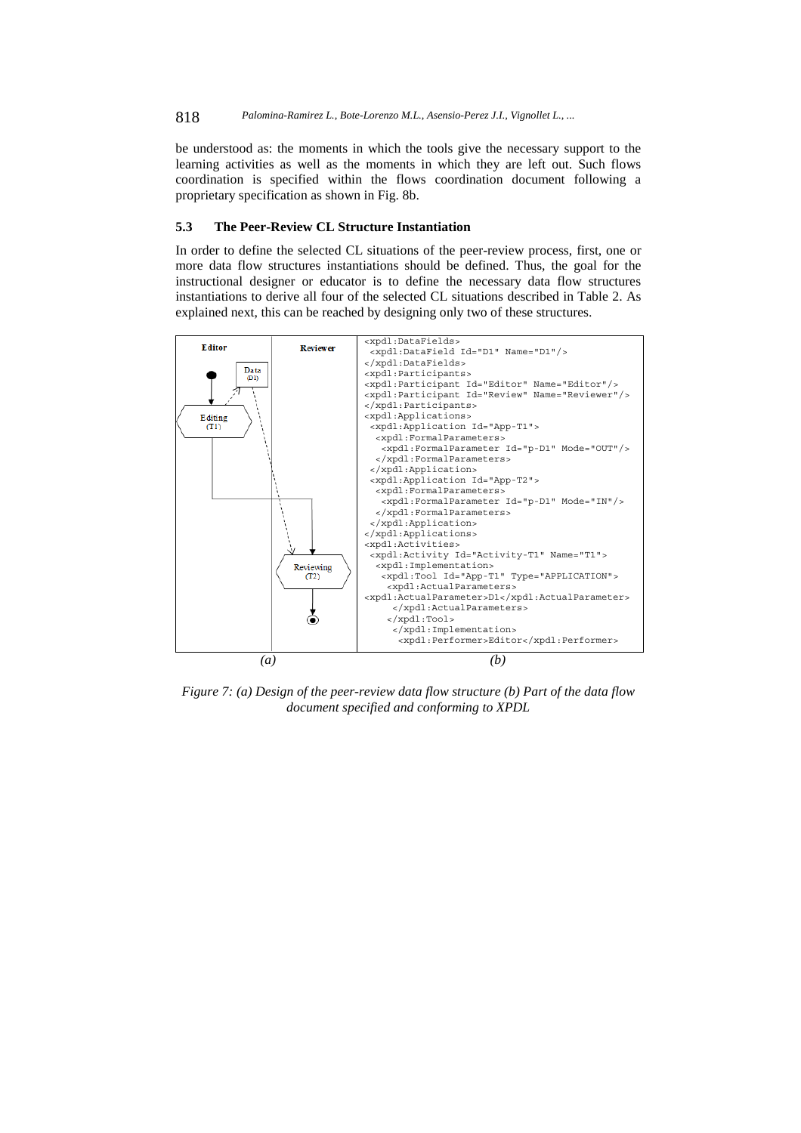be understood as: the moments in which the tools give the necessary support to the learning activities as well as the moments in which they are left out. Such flows coordination is specified within the flows coordination document following a proprietary specification as shown in Fig. 8b.

#### **5.3 The Peer-Review CL Structure Instantiation**

In order to define the selected CL situations of the peer-review process, first, one or more data flow structures instantiations should be defined. Thus, the goal for the instructional designer or educator is to define the necessary data flow structures instantiations to derive all four of the selected CL situations described in Table 2. As explained next, this can be reached by designing only two of these structures.



*Figure 7: (a) Design of the peer-review data flow structure (b) Part of the data flow document specified and conforming to XPDL*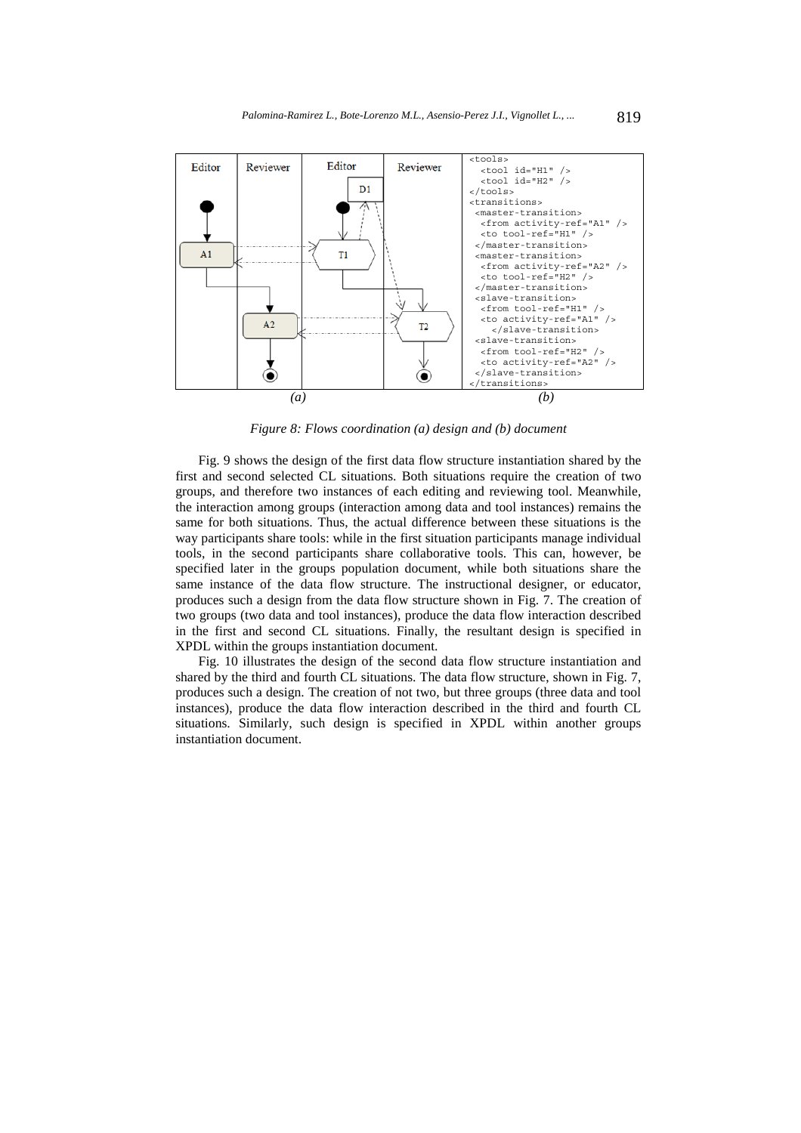

*Figure 8: Flows coordination (a) design and (b) document* 

Fig. 9 shows the design of the first data flow structure instantiation shared by the first and second selected CL situations. Both situations require the creation of two groups, and therefore two instances of each editing and reviewing tool. Meanwhile, the interaction among groups (interaction among data and tool instances) remains the same for both situations. Thus, the actual difference between these situations is the way participants share tools: while in the first situation participants manage individual tools, in the second participants share collaborative tools. This can, however, be specified later in the groups population document, while both situations share the same instance of the data flow structure. The instructional designer, or educator, produces such a design from the data flow structure shown in Fig. 7. The creation of two groups (two data and tool instances), produce the data flow interaction described in the first and second CL situations. Finally, the resultant design is specified in XPDL within the groups instantiation document.

Fig. 10 illustrates the design of the second data flow structure instantiation and shared by the third and fourth CL situations. The data flow structure, shown in Fig. 7, produces such a design. The creation of not two, but three groups (three data and tool instances), produce the data flow interaction described in the third and fourth CL situations. Similarly, such design is specified in XPDL within another groups instantiation document.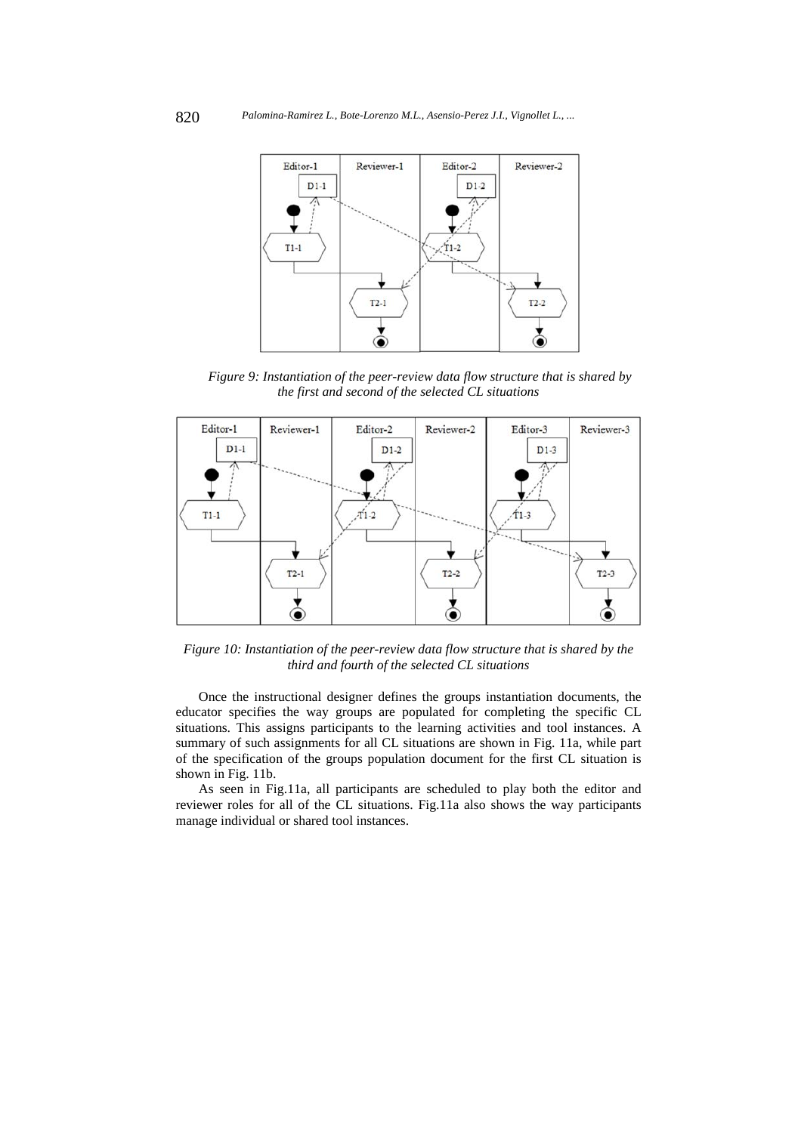

*Figure 9: Instantiation of the peer-review data flow structure that is shared by the first and second of the selected CL situations* 



*Figure 10: Instantiation of the peer-review data flow structure that is shared by the third and fourth of the selected CL situations* 

Once the instructional designer defines the groups instantiation documents, the educator specifies the way groups are populated for completing the specific CL situations. This assigns participants to the learning activities and tool instances. A summary of such assignments for all CL situations are shown in Fig. 11a, while part of the specification of the groups population document for the first CL situation is shown in Fig. 11b.

As seen in Fig.11a, all participants are scheduled to play both the editor and reviewer roles for all of the CL situations. Fig.11a also shows the way participants manage individual or shared tool instances.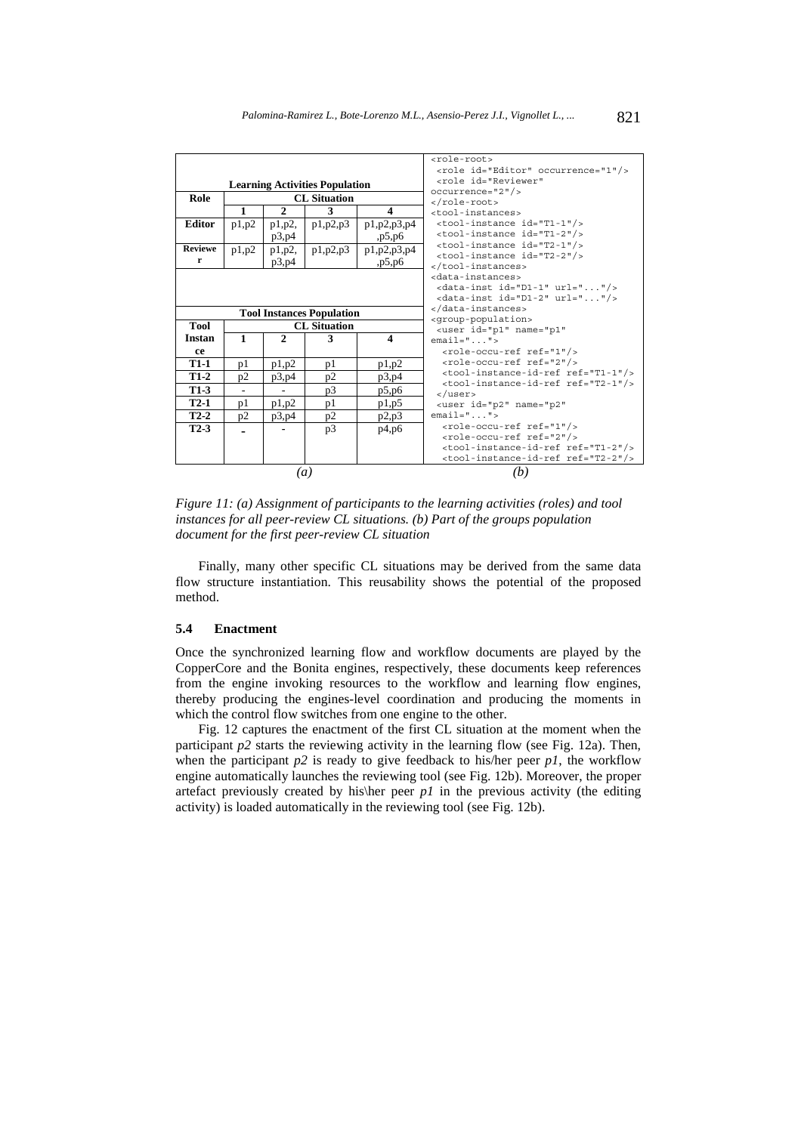|                                       |                     |                          |                                  |                                                                                 | <role-root></role-root>                                                              |  |  |
|---------------------------------------|---------------------|--------------------------|----------------------------------|---------------------------------------------------------------------------------|--------------------------------------------------------------------------------------|--|--|
|                                       |                     |                          |                                  |                                                                                 | <role id="Editor" occurrence="1"></role>                                             |  |  |
| <b>Learning Activities Population</b> |                     |                          |                                  | <role_id="reviewer"<br><math>occurrence="2"</math>/&gt;</role_id="reviewer"<br> |                                                                                      |  |  |
|                                       |                     |                          |                                  |                                                                                 |                                                                                      |  |  |
| Role                                  | <b>CL</b> Situation |                          |                                  |                                                                                 | $\langle$ /role-root>                                                                |  |  |
|                                       | 1                   | $\mathbf{2}$             | 3                                | $\overline{\mathbf{4}}$                                                         | <tool-instances></tool-instances>                                                    |  |  |
| <b>Editor</b>                         | p1,p2               | $p1,p2$ ,                | p1,p2,p3                         | p1, p2, p3, p4                                                                  | <tool-instance id="T1-1"></tool-instance>                                            |  |  |
|                                       |                     | p3,p4                    |                                  | ,p5,p6                                                                          | <tool-instance id="T1-2"></tool-instance>                                            |  |  |
| <b>Reviewe</b>                        | p1,p2               | $p1,p2$ ,                | p1,p2,p3                         | p1, p2, p3, p4                                                                  | <tool-instance id="T2-1"></tool-instance>                                            |  |  |
| r                                     |                     | p3,p4                    |                                  | ,p5,p6                                                                          | <tool-instance id="T2-2"></tool-instance>                                            |  |  |
|                                       |                     |                          |                                  |                                                                                 |                                                                                      |  |  |
|                                       |                     |                          |                                  |                                                                                 | <data-instances></data-instances>                                                    |  |  |
|                                       |                     |                          |                                  |                                                                                 | <data-inst <math="" id="D1-1">url=""/&gt;</data-inst>                                |  |  |
|                                       |                     |                          |                                  |                                                                                 | <data-inst id="D1-2" url=""></data-inst>                                             |  |  |
|                                       |                     |                          | <b>Tool Instances Population</b> |                                                                                 |                                                                                      |  |  |
| <b>Tool</b>                           | <b>CL</b> Situation |                          |                                  |                                                                                 | <qroup-population><br/><user <="" id="p1" name="p1" th=""></user></qroup-population> |  |  |
| <b>Instan</b>                         | $\mathbf{1}$        | $\mathbf{2}$             | 3                                | $\boldsymbol{4}$                                                                | $email="$ ">                                                                         |  |  |
| ce                                    |                     |                          |                                  |                                                                                 | <role-occu-ref ref="1"></role-occu-ref>                                              |  |  |
| <b>T1-1</b>                           | p1                  | p1,p2                    | p1                               | p1,p2                                                                           | <role-occu-ref ref="2"></role-occu-ref>                                              |  |  |
| $T1-2$                                | p2                  | p3,p4                    | p2                               | p3,p4                                                                           | <tool-instance-id-ref ref="T1-1"></tool-instance-id-ref>                             |  |  |
| $T1-3$                                | ٠                   | $\overline{\phantom{a}}$ | p3                               | p5,p6                                                                           | <tool-instance-id-ref ref="T2-1"></tool-instance-id-ref><br>$\langle$ /user>         |  |  |
| $T2-1$                                | p1                  | p1,p2                    | p1                               | p1,p5                                                                           | <user <="" id="p2" name="p2" th=""></user>                                           |  |  |
| $T2-2$                                | p2                  | p3,p4                    | p2                               | p2,p3                                                                           | $email="$ ">                                                                         |  |  |
| $T2-3$                                |                     |                          | p3                               | p4,p6                                                                           | <role-occu-ref ref="1"></role-occu-ref>                                              |  |  |
|                                       |                     |                          |                                  |                                                                                 | <role-occu-ref ref="2"></role-occu-ref>                                              |  |  |
|                                       |                     |                          |                                  |                                                                                 | <tool-instance-id-ref ref="T1-2"></tool-instance-id-ref>                             |  |  |
|                                       |                     |                          |                                  |                                                                                 | <tool-instance-id-ref ref="T2-2"></tool-instance-id-ref>                             |  |  |
| $\left(a\right)$                      |                     |                          |                                  |                                                                                 | (b)                                                                                  |  |  |

*Figure 11: (a) Assignment of participants to the learning activities (roles) and tool instances for all peer-review CL situations. (b) Part of the groups population document for the first peer-review CL situation* 

Finally, many other specific CL situations may be derived from the same data flow structure instantiation. This reusability shows the potential of the proposed method.

### **5.4 Enactment**

Once the synchronized learning flow and workflow documents are played by the CopperCore and the Bonita engines, respectively, these documents keep references from the engine invoking resources to the workflow and learning flow engines, thereby producing the engines-level coordination and producing the moments in which the control flow switches from one engine to the other.

Fig. 12 captures the enactment of the first CL situation at the moment when the participant  $p2$  starts the reviewing activity in the learning flow (see Fig. 12a). Then, when the participant  $p2$  is ready to give feedback to his/her peer  $p1$ , the workflow engine automatically launches the reviewing tool (see Fig. 12b). Moreover, the proper artefact previously created by his $\ker$  peer *p1* in the previous activity (the editing activity) is loaded automatically in the reviewing tool (see Fig. 12b).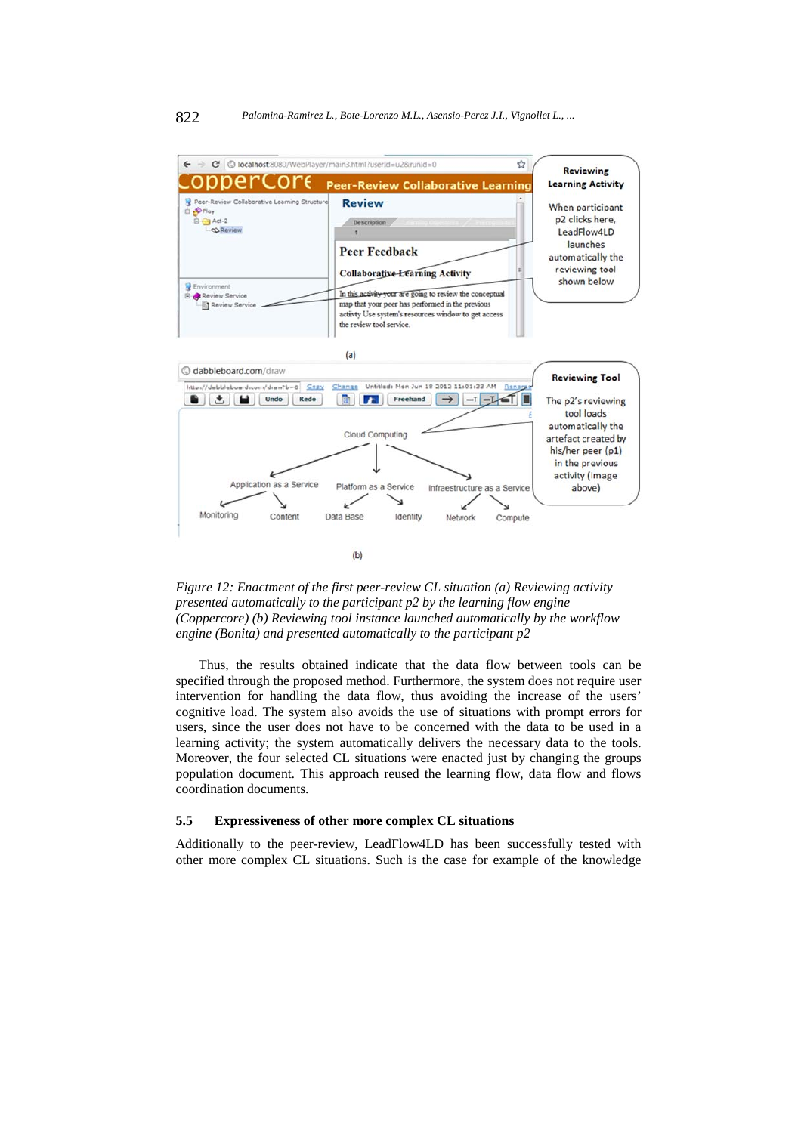

*Figure 12: Enactment of the first peer-review CL situation (a) Reviewing activity presented automatically to the participant p2 by the learning flow engine (Coppercore) (b) Reviewing tool instance launched automatically by the workflow engine (Bonita) and presented automatically to the participant p2* 

Thus, the results obtained indicate that the data flow between tools can be specified through the proposed method. Furthermore, the system does not require user intervention for handling the data flow, thus avoiding the increase of the users' cognitive load. The system also avoids the use of situations with prompt errors for users, since the user does not have to be concerned with the data to be used in a learning activity; the system automatically delivers the necessary data to the tools. Moreover, the four selected CL situations were enacted just by changing the groups population document. This approach reused the learning flow, data flow and flows coordination documents.

## **5.5 Expressiveness of other more complex CL situations**

Additionally to the peer-review, LeadFlow4LD has been successfully tested with other more complex CL situations. Such is the case for example of the knowledge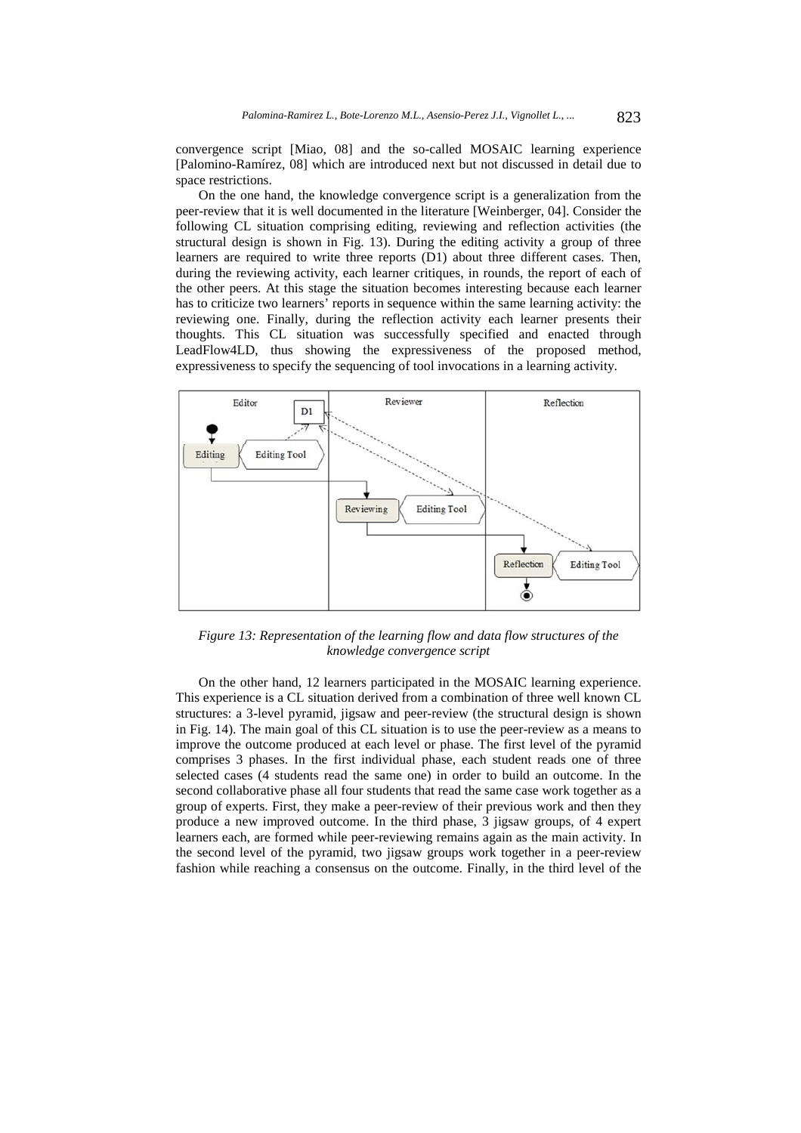convergence script [Miao, 08] and the so-called MOSAIC learning experience [Palomino-Ramírez, 08] which are introduced next but not discussed in detail due to space restrictions.

On the one hand, the knowledge convergence script is a generalization from the peer-review that it is well documented in the literature [Weinberger, 04]. Consider the following CL situation comprising editing, reviewing and reflection activities (the structural design is shown in Fig. 13). During the editing activity a group of three learners are required to write three reports (D1) about three different cases. Then, during the reviewing activity, each learner critiques, in rounds, the report of each of the other peers. At this stage the situation becomes interesting because each learner has to criticize two learners' reports in sequence within the same learning activity: the reviewing one. Finally, during the reflection activity each learner presents their thoughts. This CL situation was successfully specified and enacted through LeadFlow4LD, thus showing the expressiveness of the proposed method, expressiveness to specify the sequencing of tool invocations in a learning activity.



*Figure 13: Representation of the learning flow and data flow structures of the knowledge convergence script* 

On the other hand, 12 learners participated in the MOSAIC learning experience. This experience is a CL situation derived from a combination of three well known CL structures: a 3-level pyramid, jigsaw and peer-review (the structural design is shown in Fig. 14). The main goal of this CL situation is to use the peer-review as a means to improve the outcome produced at each level or phase. The first level of the pyramid comprises 3 phases. In the first individual phase, each student reads one of three selected cases (4 students read the same one) in order to build an outcome. In the second collaborative phase all four students that read the same case work together as a group of experts. First, they make a peer-review of their previous work and then they produce a new improved outcome. In the third phase, 3 jigsaw groups, of 4 expert learners each, are formed while peer-reviewing remains again as the main activity. In the second level of the pyramid, two jigsaw groups work together in a peer-review fashion while reaching a consensus on the outcome. Finally, in the third level of the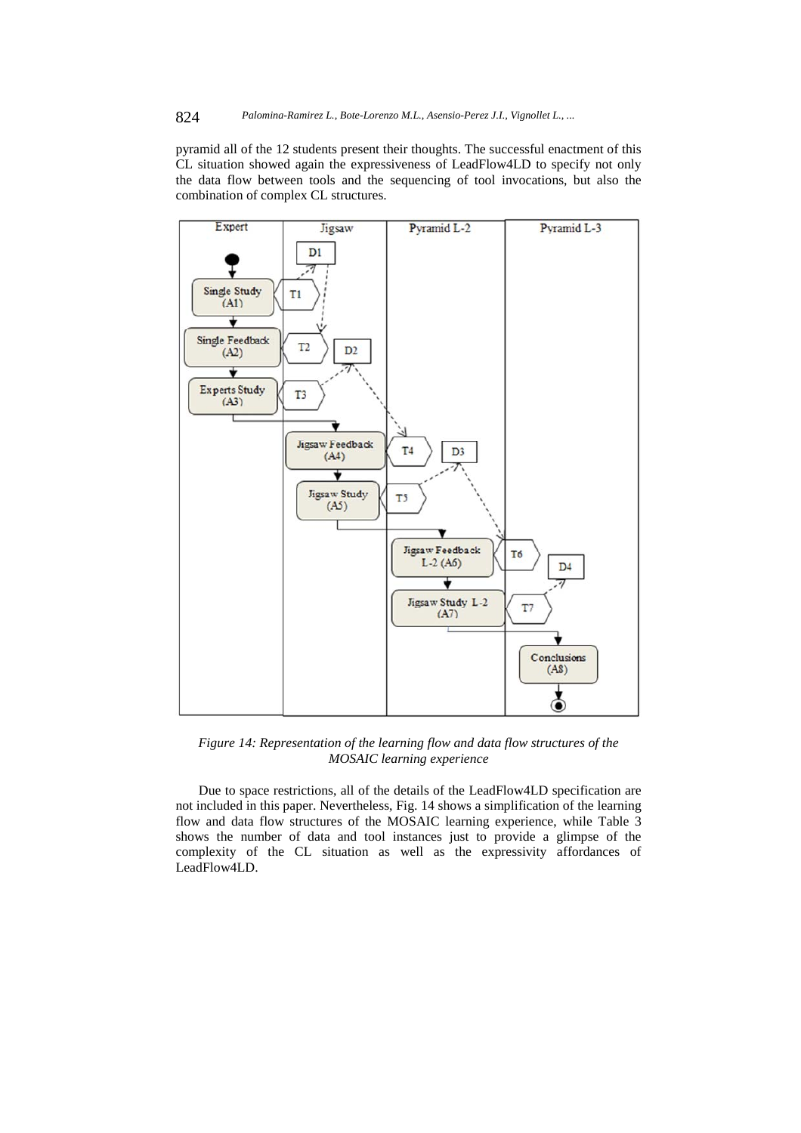pyramid all of the 12 students present their thoughts. The successful enactment of this CL situation showed again the expressiveness of LeadFlow4LD to specify not only the data flow between tools and the sequencing of tool invocations, but also the combination of complex CL structures.



*Figure 14: Representation of the learning flow and data flow structures of the MOSAIC learning experience* 

Due to space restrictions, all of the details of the LeadFlow4LD specification are not included in this paper. Nevertheless, Fig. 14 shows a simplification of the learning flow and data flow structures of the MOSAIC learning experience, while Table 3 shows the number of data and tool instances just to provide a glimpse of the complexity of the CL situation as well as the expressivity affordances of LeadFlow4LD.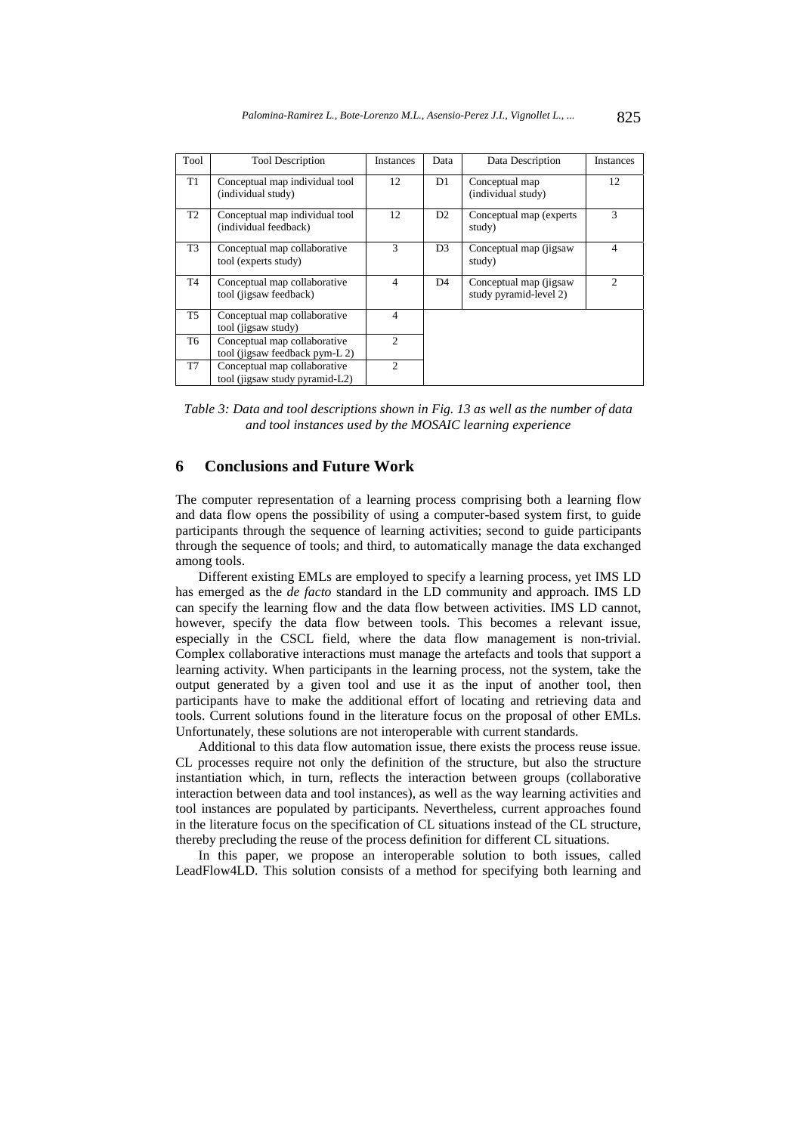| Tool           | <b>Tool Description</b>                                        | Instances      | Data           | Data Description                                  | Instances      |
|----------------|----------------------------------------------------------------|----------------|----------------|---------------------------------------------------|----------------|
| T1             | Conceptual map individual tool<br>(individual study)           | 12             | D1             | Conceptual map<br>(individual study)              | 12             |
| T <sub>2</sub> | Conceptual map individual tool<br>(individual feedback)        | 12             | D <sub>2</sub> | Conceptual map (experts)<br>study)                | 3              |
| T <sub>3</sub> | Conceptual map collaborative<br>tool (experts study)           | 3              | D <sub>3</sub> | Conceptual map (jigsaw<br>study)                  | $\overline{4}$ |
| T <sub>4</sub> | Conceptual map collaborative<br>tool (jigsaw feedback)         | 4              | D4             | Conceptual map (jigsaw)<br>study pyramid-level 2) | 2              |
| T <sub>5</sub> | Conceptual map collaborative<br>tool (jigsaw study)            | $\overline{4}$ |                |                                                   |                |
| T <sub>6</sub> | Conceptual map collaborative<br>tool (jigsaw feedback pym-L 2) | $\mathfrak{D}$ |                |                                                   |                |
| T7             | Conceptual map collaborative<br>tool (jigsaw study pyramid-L2) | $\mathfrak{D}$ |                |                                                   |                |

*Table 3: Data and tool descriptions shown in Fig. 13 as well as the number of data and tool instances used by the MOSAIC learning experience* 

# **6 Conclusions and Future Work**

The computer representation of a learning process comprising both a learning flow and data flow opens the possibility of using a computer-based system first, to guide participants through the sequence of learning activities; second to guide participants through the sequence of tools; and third, to automatically manage the data exchanged among tools.

Different existing EMLs are employed to specify a learning process, yet IMS LD has emerged as the *de facto* standard in the LD community and approach. IMS LD can specify the learning flow and the data flow between activities. IMS LD cannot, however, specify the data flow between tools. This becomes a relevant issue, especially in the CSCL field, where the data flow management is non-trivial. Complex collaborative interactions must manage the artefacts and tools that support a learning activity. When participants in the learning process, not the system, take the output generated by a given tool and use it as the input of another tool, then participants have to make the additional effort of locating and retrieving data and tools. Current solutions found in the literature focus on the proposal of other EMLs. Unfortunately, these solutions are not interoperable with current standards.

Additional to this data flow automation issue, there exists the process reuse issue. CL processes require not only the definition of the structure, but also the structure instantiation which, in turn, reflects the interaction between groups (collaborative interaction between data and tool instances), as well as the way learning activities and tool instances are populated by participants. Nevertheless, current approaches found in the literature focus on the specification of CL situations instead of the CL structure, thereby precluding the reuse of the process definition for different CL situations.

In this paper, we propose an interoperable solution to both issues, called LeadFlow4LD. This solution consists of a method for specifying both learning and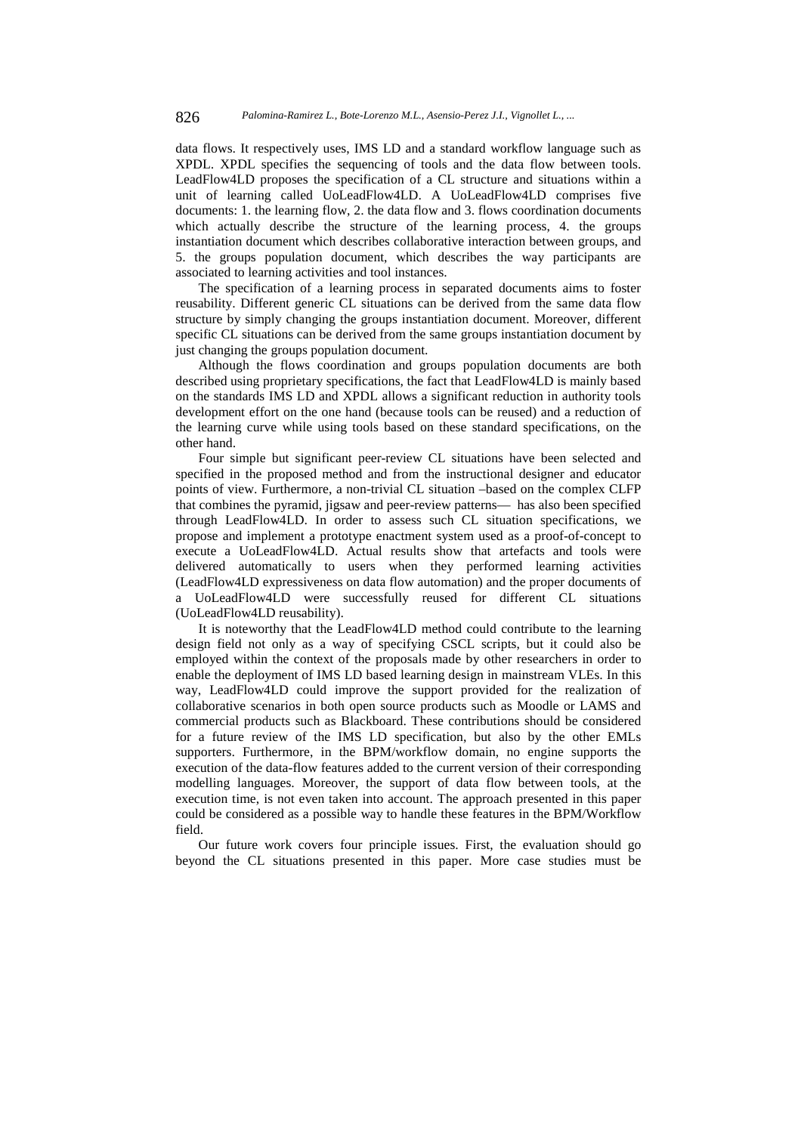data flows. It respectively uses, IMS LD and a standard workflow language such as XPDL. XPDL specifies the sequencing of tools and the data flow between tools. LeadFlow4LD proposes the specification of a CL structure and situations within a unit of learning called UoLeadFlow4LD. A UoLeadFlow4LD comprises five documents: 1. the learning flow, 2. the data flow and 3. flows coordination documents which actually describe the structure of the learning process, 4. the groups instantiation document which describes collaborative interaction between groups, and 5. the groups population document, which describes the way participants are associated to learning activities and tool instances.

The specification of a learning process in separated documents aims to foster reusability. Different generic CL situations can be derived from the same data flow structure by simply changing the groups instantiation document. Moreover, different specific CL situations can be derived from the same groups instantiation document by just changing the groups population document.

Although the flows coordination and groups population documents are both described using proprietary specifications, the fact that LeadFlow4LD is mainly based on the standards IMS LD and XPDL allows a significant reduction in authority tools development effort on the one hand (because tools can be reused) and a reduction of the learning curve while using tools based on these standard specifications, on the other hand.

Four simple but significant peer-review CL situations have been selected and specified in the proposed method and from the instructional designer and educator points of view. Furthermore, a non-trivial CL situation –based on the complex CLFP that combines the pyramid, jigsaw and peer-review patterns— has also been specified through LeadFlow4LD. In order to assess such CL situation specifications, we propose and implement a prototype enactment system used as a proof-of-concept to execute a UoLeadFlow4LD. Actual results show that artefacts and tools were delivered automatically to users when they performed learning activities (LeadFlow4LD expressiveness on data flow automation) and the proper documents of a UoLeadFlow4LD were successfully reused for different CL situations (UoLeadFlow4LD reusability).

It is noteworthy that the LeadFlow4LD method could contribute to the learning design field not only as a way of specifying CSCL scripts, but it could also be employed within the context of the proposals made by other researchers in order to enable the deployment of IMS LD based learning design in mainstream VLEs. In this way, LeadFlow4LD could improve the support provided for the realization of collaborative scenarios in both open source products such as Moodle or LAMS and commercial products such as Blackboard. These contributions should be considered for a future review of the IMS LD specification, but also by the other EMLs supporters. Furthermore, in the BPM/workflow domain, no engine supports the execution of the data-flow features added to the current version of their corresponding modelling languages. Moreover, the support of data flow between tools, at the execution time, is not even taken into account. The approach presented in this paper could be considered as a possible way to handle these features in the BPM/Workflow field.

Our future work covers four principle issues. First, the evaluation should go beyond the CL situations presented in this paper. More case studies must be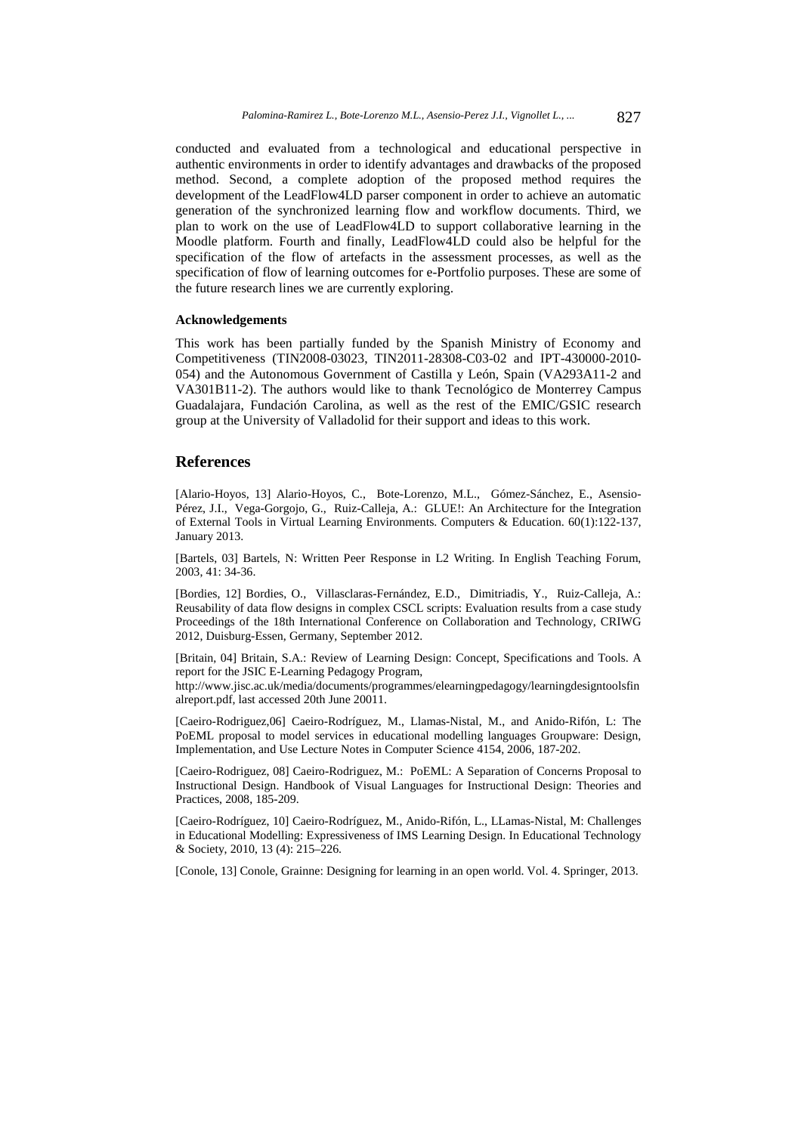conducted and evaluated from a technological and educational perspective in authentic environments in order to identify advantages and drawbacks of the proposed method. Second, a complete adoption of the proposed method requires the development of the LeadFlow4LD parser component in order to achieve an automatic generation of the synchronized learning flow and workflow documents. Third, we plan to work on the use of LeadFlow4LD to support collaborative learning in the Moodle platform. Fourth and finally, LeadFlow4LD could also be helpful for the specification of the flow of artefacts in the assessment processes, as well as the specification of flow of learning outcomes for e-Portfolio purposes. These are some of the future research lines we are currently exploring.

#### **Acknowledgements**

This work has been partially funded by the Spanish Ministry of Economy and Competitiveness (TIN2008-03023, TIN2011-28308-C03-02 and IPT-430000-2010- 054) and the Autonomous Government of Castilla y León, Spain (VA293A11-2 and VA301B11-2). The authors would like to thank Tecnológico de Monterrey Campus Guadalajara, Fundación Carolina, as well as the rest of the EMIC/GSIC research group at the University of Valladolid for their support and ideas to this work.

## **References**

[Alario-Hoyos, 13] Alario-Hoyos, C., Bote-Lorenzo, M.L., Gómez-Sánchez, E., Asensio-Pérez, J.I., Vega-Gorgojo, G., Ruiz-Calleja, A.: GLUE!: An Architecture for the Integration of External Tools in Virtual Learning Environments. Computers & Education. 60(1):122-137, January 2013.

[Bartels, 03] Bartels, N: Written Peer Response in L2 Writing. In English Teaching Forum, 2003, 41: 34-36.

[Bordies, 12] Bordies, O., Villasclaras-Fernández, E.D., Dimitriadis, Y., Ruiz-Calleja, A.: Reusability of data flow designs in complex CSCL scripts: Evaluation results from a case study Proceedings of the 18th International Conference on Collaboration and Technology, CRIWG 2012, Duisburg-Essen, Germany, September 2012.

[Britain, 04] Britain, S.A.: Review of Learning Design: Concept, Specifications and Tools. A report for the JSIC E-Learning Pedagogy Program, http://www.jisc.ac.uk/media/documents/programmes/elearningpedagogy/learningdesigntoolsfin

alreport.pdf, last accessed 20th June 20011.

[Caeiro-Rodriguez,06] Caeiro-Rodríguez, M., Llamas-Nistal, M., and Anido-Rifón, L: The PoEML proposal to model services in educational modelling languages Groupware: Design, Implementation, and Use Lecture Notes in Computer Science 4154, 2006, 187-202.

[Caeiro-Rodriguez, 08] Caeiro-Rodriguez, M.: PoEML: A Separation of Concerns Proposal to Instructional Design. Handbook of Visual Languages for Instructional Design: Theories and Practices, 2008, 185-209.

[Caeiro-Rodríguez, 10] Caeiro-Rodríguez, M., Anido-Rifón, L., LLamas-Nistal, M: Challenges in Educational Modelling: Expressiveness of IMS Learning Design. In Educational Technology & Society, 2010, 13 (4): 215–226.

[Conole, 13] Conole, Grainne: Designing for learning in an open world. Vol. 4. Springer, 2013.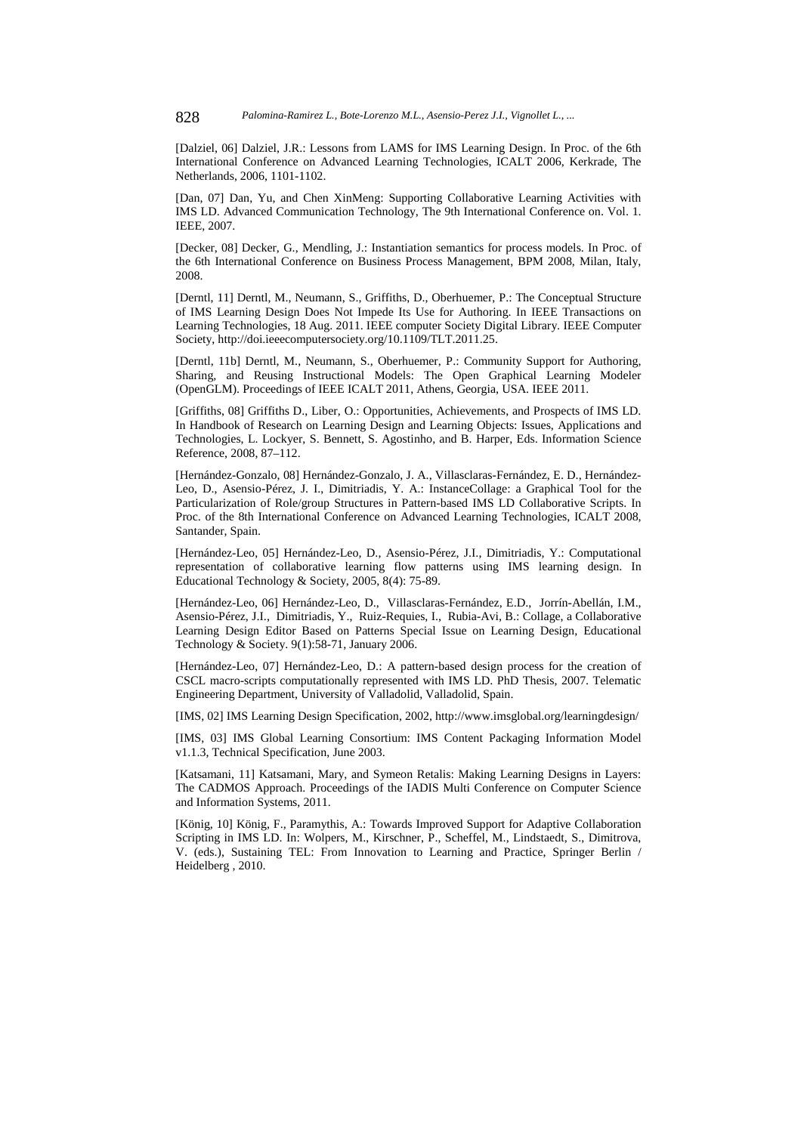[Dalziel, 06] Dalziel, J.R.: Lessons from LAMS for IMS Learning Design. In Proc. of the 6th International Conference on Advanced Learning Technologies, ICALT 2006, Kerkrade, The Netherlands, 2006, 1101-1102.

[Dan, 07] Dan, Yu, and Chen XinMeng: Supporting Collaborative Learning Activities with IMS LD. Advanced Communication Technology, The 9th International Conference on. Vol. 1. IEEE, 2007.

[Decker, 08] Decker, G., Mendling, J.: Instantiation semantics for process models. In Proc. of the 6th International Conference on Business Process Management, BPM 2008, Milan, Italy, 2008.

[Derntl, 11] Derntl, M., Neumann, S., Griffiths, D., Oberhuemer, P.: The Conceptual Structure of IMS Learning Design Does Not Impede Its Use for Authoring. In IEEE Transactions on Learning Technologies, 18 Aug. 2011. IEEE computer Society Digital Library. IEEE Computer Society, http://doi.ieeecomputersociety.org/10.1109/TLT.2011.25.

[Derntl, 11b] Derntl, M., Neumann, S., Oberhuemer, P.: Community Support for Authoring, Sharing, and Reusing Instructional Models: The Open Graphical Learning Modeler (OpenGLM). Proceedings of IEEE ICALT 2011, Athens, Georgia, USA. IEEE 2011.

[Griffiths, 08] Griffiths D., Liber, O.: Opportunities, Achievements, and Prospects of IMS LD. In Handbook of Research on Learning Design and Learning Objects: Issues, Applications and Technologies, L. Lockyer, S. Bennett, S. Agostinho, and B. Harper, Eds. Information Science Reference, 2008, 87–112.

[Hernández-Gonzalo, 08] Hernández-Gonzalo, J. A., Villasclaras-Fernández, E. D., Hernández-Leo, D., Asensio-Pérez, J. I., Dimitriadis, Y. A.: InstanceCollage: a Graphical Tool for the Particularization of Role/group Structures in Pattern-based IMS LD Collaborative Scripts. In Proc. of the 8th International Conference on Advanced Learning Technologies, ICALT 2008, Santander, Spain.

[Hernández-Leo, 05] Hernández-Leo, D., Asensio-Pérez, J.I., Dimitriadis, Y.: Computational representation of collaborative learning flow patterns using IMS learning design. In Educational Technology & Society, 2005, 8(4): 75-89.

[Hernández-Leo, 06] Hernández-Leo, D., Villasclaras-Fernández, E.D., Jorrín-Abellán, I.M., Asensio-Pérez, J.I., Dimitriadis, Y., Ruiz-Requies, I., Rubia-Avi, B.: Collage, a Collaborative Learning Design Editor Based on Patterns Special Issue on Learning Design, Educational Technology & Society. 9(1):58-71, January 2006.

[Hernández-Leo, 07] Hernández-Leo, D.: A pattern-based design process for the creation of CSCL macro-scripts computationally represented with IMS LD. PhD Thesis, 2007. Telematic Engineering Department, University of Valladolid, Valladolid, Spain.

[IMS, 02] IMS Learning Design Specification, 2002, http://www.imsglobal.org/learningdesign/

[IMS, 03] IMS Global Learning Consortium: IMS Content Packaging Information Model v1.1.3, Technical Specification, June 2003.

[Katsamani, 11] Katsamani, Mary, and Symeon Retalis: Making Learning Designs in Layers: The CADMOS Approach. Proceedings of the IADIS Multi Conference on Computer Science and Information Systems, 2011.

[König, 10] König, F., Paramythis, A.: Towards Improved Support for Adaptive Collaboration Scripting in IMS LD. In: Wolpers, M., Kirschner, P., Scheffel, M., Lindstaedt, S., Dimitrova, V. (eds.), Sustaining TEL: From Innovation to Learning and Practice, Springer Berlin / Heidelberg , 2010.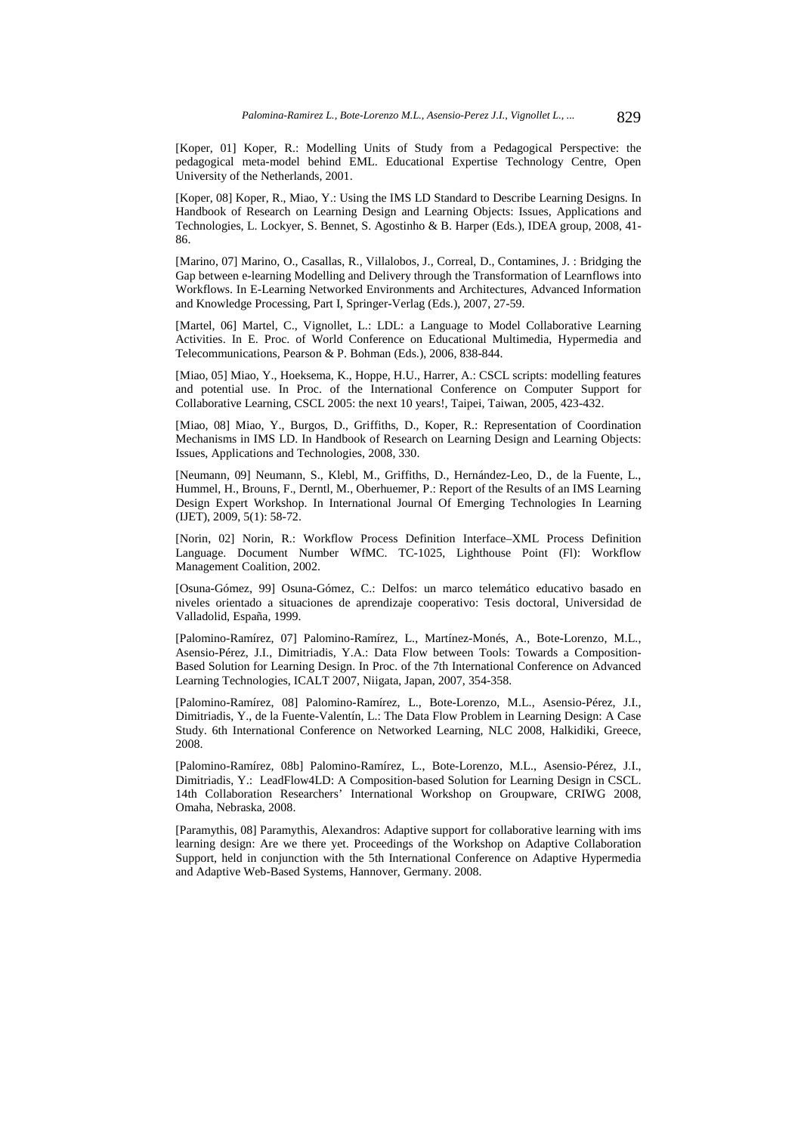[Koper, 01] Koper, R.: Modelling Units of Study from a Pedagogical Perspective: the pedagogical meta-model behind EML. Educational Expertise Technology Centre, Open University of the Netherlands, 2001.

[Koper, 08] Koper, R., Miao, Y.: Using the IMS LD Standard to Describe Learning Designs. In Handbook of Research on Learning Design and Learning Objects: Issues, Applications and Technologies, L. Lockyer, S. Bennet, S. Agostinho & B. Harper (Eds.), IDEA group, 2008, 41- 86.

[Marino, 07] Marino, O., Casallas, R., Villalobos, J., Correal, D., Contamines, J. : Bridging the Gap between e-learning Modelling and Delivery through the Transformation of Learnflows into Workflows. In E-Learning Networked Environments and Architectures, Advanced Information and Knowledge Processing, Part I, Springer-Verlag (Eds.), 2007, 27-59.

[Martel, 06] Martel, C., Vignollet, L.: LDL: a Language to Model Collaborative Learning Activities. In E. Proc. of World Conference on Educational Multimedia, Hypermedia and Telecommunications, Pearson & P. Bohman (Eds.), 2006, 838-844.

[Miao, 05] Miao, Y., Hoeksema, K., Hoppe, H.U., Harrer, A.: CSCL scripts: modelling features and potential use. In Proc. of the International Conference on Computer Support for Collaborative Learning, CSCL 2005: the next 10 years!, Taipei, Taiwan, 2005, 423-432.

[Miao, 08] Miao, Y., Burgos, D., Griffiths, D., Koper, R.: Representation of Coordination Mechanisms in IMS LD. In Handbook of Research on Learning Design and Learning Objects: Issues, Applications and Technologies, 2008, 330.

[Neumann, 09] Neumann, S., Klebl, M., Griffiths, D., Hernández-Leo, D., de la Fuente, L., Hummel, H., Brouns, F., Derntl, M., Oberhuemer, P.: Report of the Results of an IMS Learning Design Expert Workshop. In International Journal Of Emerging Technologies In Learning (IJET), 2009, 5(1): 58-72.

[Norin, 02] Norin, R.: Workflow Process Definition Interface–XML Process Definition Language. Document Number WfMC. TC-1025, Lighthouse Point (Fl): Workflow Management Coalition, 2002.

[Osuna-Gómez, 99] Osuna-Gómez, C.: Delfos: un marco telemático educativo basado en niveles orientado a situaciones de aprendizaje cooperativo: Tesis doctoral, Universidad de Valladolid, España, 1999.

[Palomino-Ramírez, 07] Palomino-Ramírez, L., Martínez-Monés, A., Bote-Lorenzo, M.L., Asensio-Pérez, J.I., Dimitriadis, Y.A.: Data Flow between Tools: Towards a Composition-Based Solution for Learning Design. In Proc. of the 7th International Conference on Advanced Learning Technologies, ICALT 2007, Niigata, Japan, 2007, 354-358.

[Palomino-Ramírez, 08] Palomino-Ramírez, L., Bote-Lorenzo, M.L., Asensio-Pérez, J.I., Dimitriadis, Y., de la Fuente-Valentín, L.: The Data Flow Problem in Learning Design: A Case Study. 6th International Conference on Networked Learning, NLC 2008, Halkidiki, Greece, 2008.

[Palomino-Ramírez, 08b] Palomino-Ramírez, L., Bote-Lorenzo, M.L., Asensio-Pérez, J.I., Dimitriadis, Y.: LeadFlow4LD: A Composition-based Solution for Learning Design in CSCL. 14th Collaboration Researchers' International Workshop on Groupware, CRIWG 2008, Omaha, Nebraska, 2008.

[Paramythis, 08] Paramythis, Alexandros: Adaptive support for collaborative learning with ims learning design: Are we there yet. Proceedings of the Workshop on Adaptive Collaboration Support, held in conjunction with the 5th International Conference on Adaptive Hypermedia and Adaptive Web-Based Systems, Hannover, Germany. 2008.